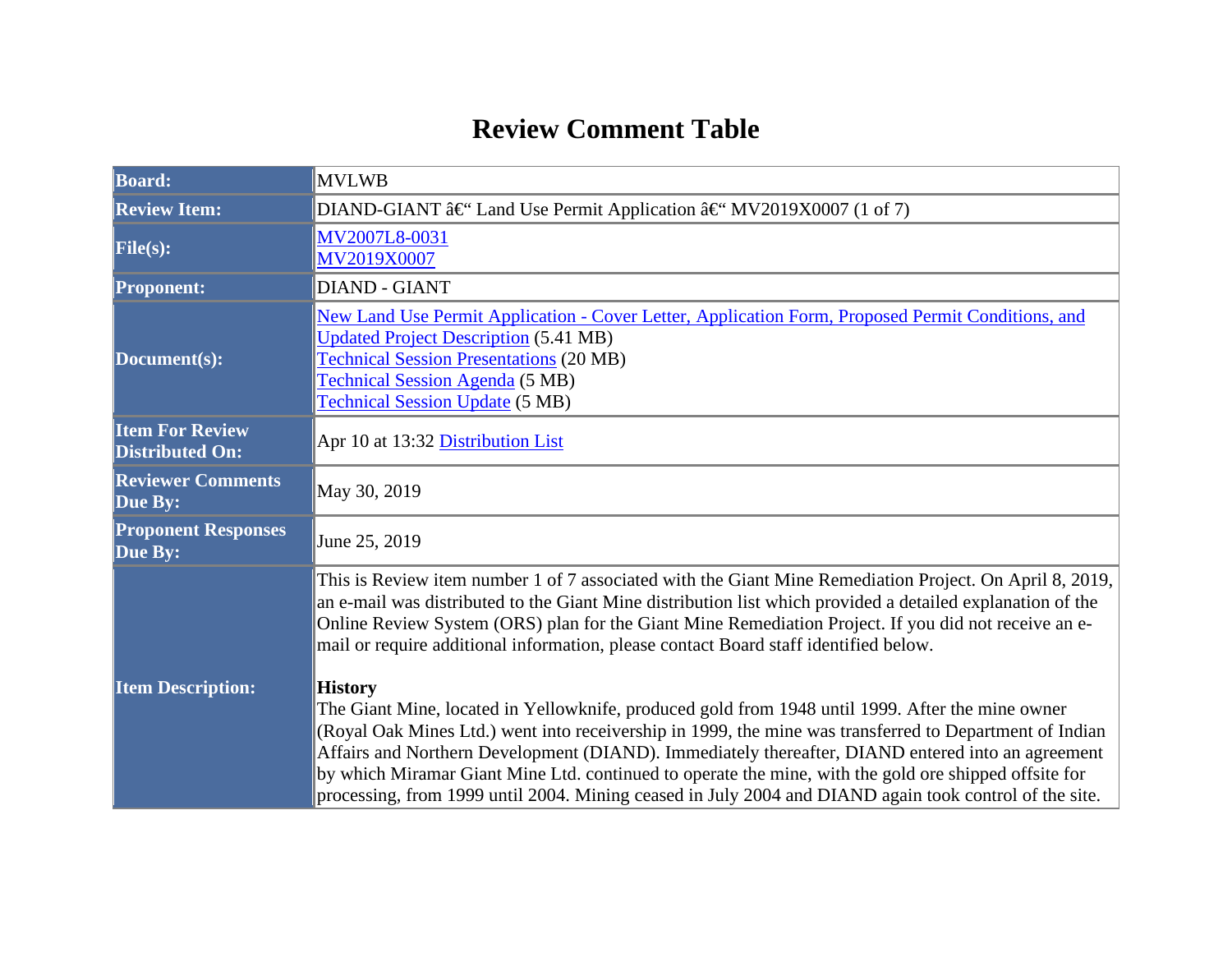## **Review Comment Table**

| <b>Board:</b>                                    | <b>MVLWB</b>                                                                                                                                                                                                                                                                                                                                                                                                                                                                                                                                          |  |  |  |
|--------------------------------------------------|-------------------------------------------------------------------------------------------------------------------------------------------------------------------------------------------------------------------------------------------------------------------------------------------------------------------------------------------------------------------------------------------------------------------------------------------------------------------------------------------------------------------------------------------------------|--|--|--|
| <b>Review Item:</b>                              | DIAND-GIANT â $\mathfrak{E}^{\epsilon}$ Land Use Permit Application â $\mathfrak{E}^{\epsilon}$ MV2019X0007 (1 of 7)                                                                                                                                                                                                                                                                                                                                                                                                                                  |  |  |  |
| File(s):                                         | MV2007L8-0031<br>MV2019X0007                                                                                                                                                                                                                                                                                                                                                                                                                                                                                                                          |  |  |  |
| <b>Proponent:</b>                                | <b>DIAND - GIANT</b>                                                                                                                                                                                                                                                                                                                                                                                                                                                                                                                                  |  |  |  |
| Document(s):                                     | New Land Use Permit Application - Cover Letter, Application Form, Proposed Permit Conditions, and<br><b>Updated Project Description (5.41 MB)</b><br><b>Technical Session Presentations (20 MB)</b><br><b>Technical Session Agenda (5 MB)</b><br><b>Technical Session Update (5 MB)</b>                                                                                                                                                                                                                                                               |  |  |  |
| <b>Item For Review</b><br><b>Distributed On:</b> | Apr 10 at 13:32 Distribution List                                                                                                                                                                                                                                                                                                                                                                                                                                                                                                                     |  |  |  |
| <b>Reviewer Comments</b><br>Due By:              | May 30, 2019                                                                                                                                                                                                                                                                                                                                                                                                                                                                                                                                          |  |  |  |
| <b>Proponent Responses</b><br>Due By:            | June 25, 2019                                                                                                                                                                                                                                                                                                                                                                                                                                                                                                                                         |  |  |  |
|                                                  | This is Review item number 1 of 7 associated with the Giant Mine Remediation Project. On April 8, 2019,<br>an e-mail was distributed to the Giant Mine distribution list which provided a detailed explanation of the<br>Online Review System (ORS) plan for the Giant Mine Remediation Project. If you did not receive an e-<br>mail or require additional information, please contact Board staff identified below.                                                                                                                                 |  |  |  |
| <b>Item Description:</b>                         | <b>History</b><br>The Giant Mine, located in Yellowknife, produced gold from 1948 until 1999. After the mine owner<br>(Royal Oak Mines Ltd.) went into receivership in 1999, the mine was transferred to Department of Indian<br>Affairs and Northern Development (DIAND). Immediately thereafter, DIAND entered into an agreement<br>by which Miramar Giant Mine Ltd. continued to operate the mine, with the gold ore shipped offsite for<br>processing, from 1999 until 2004. Mining ceased in July 2004 and DIAND again took control of the site. |  |  |  |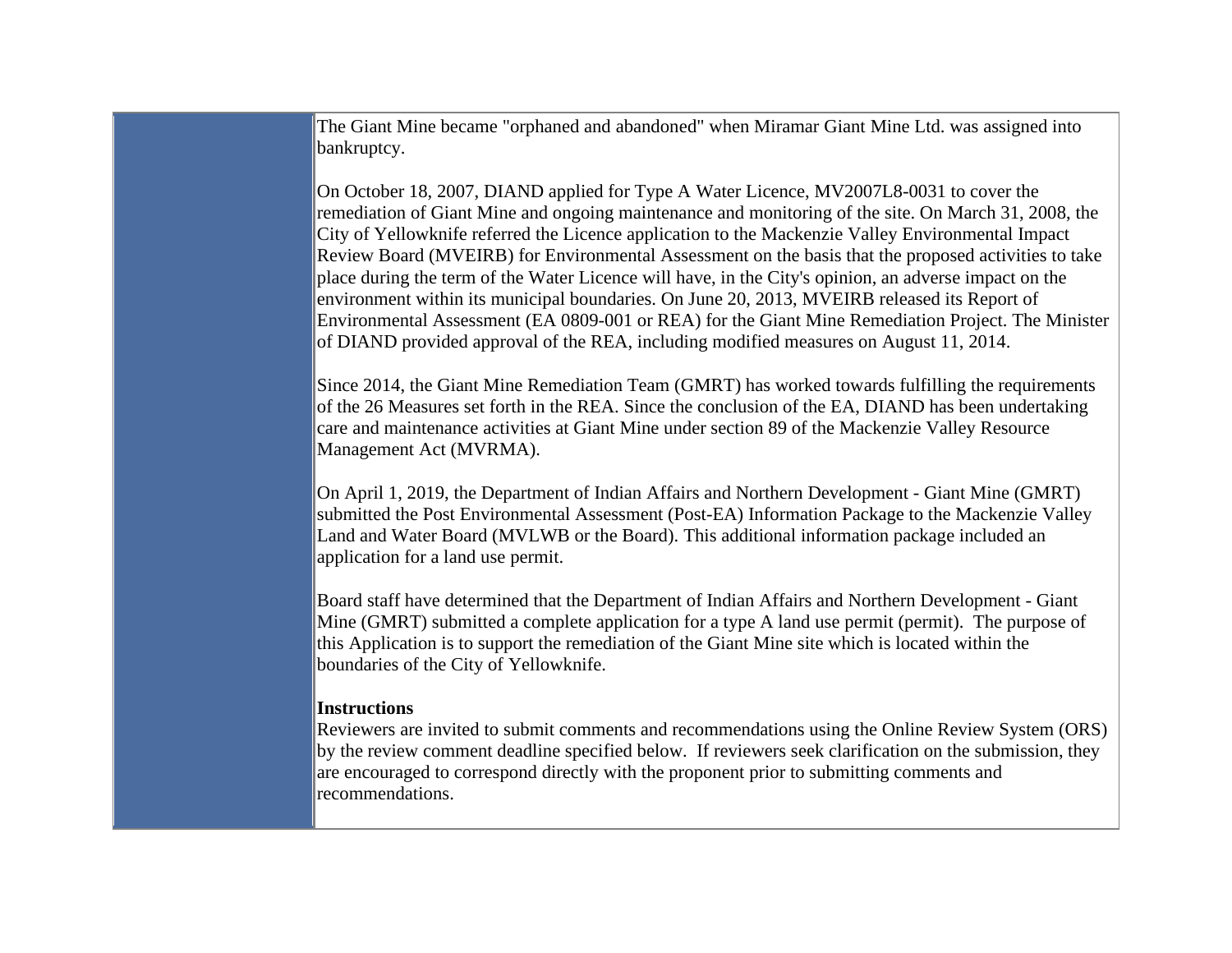The Giant Mine became "orphaned and abandoned" when Miramar Giant Mine Ltd. was assigned into bankruptcy.

On October 18, 2007, DIAND applied for Type A Water Licence, MV2007L8-0031 to cover the remediation of Giant Mine and ongoing maintenance and monitoring of the site. On March 31, 2008, the City of Yellowknife referred the Licence application to the Mackenzie Valley Environmental Impact Review Board (MVEIRB) for Environmental Assessment on the basis that the proposed activities to take place during the term of the Water Licence will have, in the City's opinion, an adverse impact on the environment within its municipal boundaries. On June 20, 2013, MVEIRB released its Report of Environmental Assessment (EA 0809-001 or REA) for the Giant Mine Remediation Project. The Minister of DIAND provided approval of the REA, including modified measures on August 11, 2014.

Since 2014, the Giant Mine Remediation Team (GMRT) has worked towards fulfilling the requirements of the 26 Measures set forth in the REA. Since the conclusion of the EA, DIAND has been undertaking care and maintenance activities at Giant Mine under section 89 of the Mackenzie Valley Resource Management Act (MVRMA).

On April 1, 2019, the Department of Indian Affairs and Northern Development - Giant Mine (GMRT) submitted the Post Environmental Assessment (Post-EA) Information Package to the Mackenzie Valley Land and Water Board (MVLWB or the Board). This additional information package included an application for a land use permit.

Board staff have determined that the Department of Indian Affairs and Northern Development - Giant Mine (GMRT) submitted a complete application for a type A land use permit (permit). The purpose of this Application is to support the remediation of the Giant Mine site which is located within the boundaries of the City of Yellowknife.

## **Instructions**

Reviewers are invited to submit comments and recommendations using the Online Review System (ORS) by the review comment deadline specified below. If reviewers seek clarification on the submission, they are encouraged to correspond directly with the proponent prior to submitting comments and recommendations.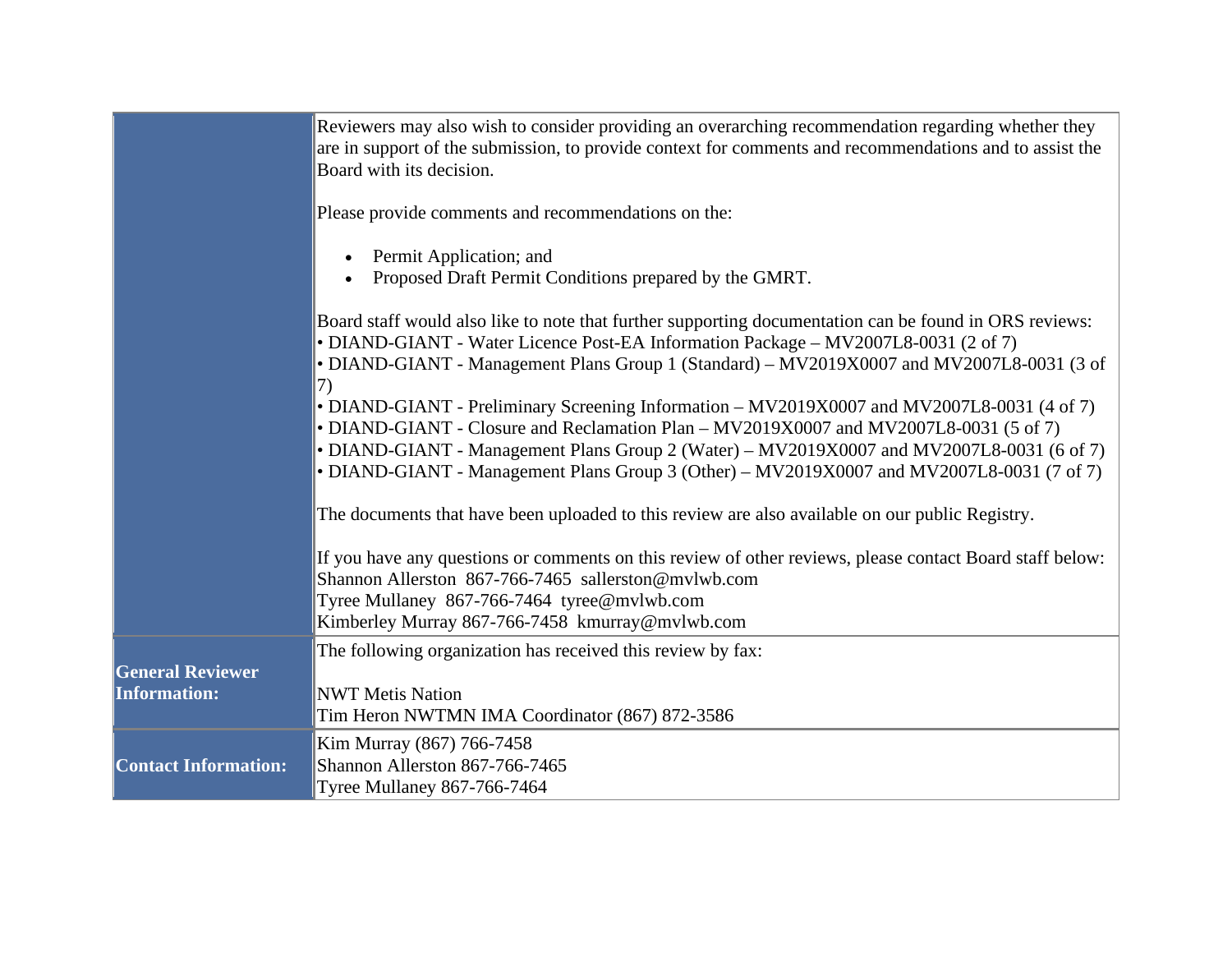|                                                | Reviewers may also wish to consider providing an overarching recommendation regarding whether they<br>are in support of the submission, to provide context for comments and recommendations and to assist the<br>Board with its decision.                                                                                                                                           |
|------------------------------------------------|-------------------------------------------------------------------------------------------------------------------------------------------------------------------------------------------------------------------------------------------------------------------------------------------------------------------------------------------------------------------------------------|
|                                                | Please provide comments and recommendations on the:                                                                                                                                                                                                                                                                                                                                 |
|                                                | Permit Application; and<br>Proposed Draft Permit Conditions prepared by the GMRT.                                                                                                                                                                                                                                                                                                   |
|                                                | Board staff would also like to note that further supporting documentation can be found in ORS reviews:<br>• DIAND-GIANT - Water Licence Post-EA Information Package – MV2007L8-0031 (2 of 7)<br>• DIAND-GIANT - Management Plans Group 1 (Standard) – MV2019X0007 and MV2007L8-0031 (3 of                                                                                           |
|                                                | 7)<br>• DIAND-GIANT - Preliminary Screening Information – MV2019X0007 and MV2007L8-0031 (4 of 7)<br>• DIAND-GIANT - Closure and Reclamation Plan – MV2019X0007 and MV2007L8-0031 (5 of 7)<br>• DIAND-GIANT - Management Plans Group 2 (Water) - MV2019X0007 and MV2007L8-0031 (6 of 7)<br>• DIAND-GIANT - Management Plans Group 3 (Other) – MV2019X0007 and MV2007L8-0031 (7 of 7) |
|                                                | The documents that have been uploaded to this review are also available on our public Registry.                                                                                                                                                                                                                                                                                     |
|                                                | If you have any questions or comments on this review of other reviews, please contact Board staff below:<br>Shannon Allerston 867-766-7465 sallerston@mvlwb.com<br>Tyree Mullaney 867-766-7464 tyree@mvlwb.com<br>Kimberley Murray 867-766-7458 kmurray@mvlwb.com                                                                                                                   |
| <b>General Reviewer</b><br><b>Information:</b> | The following organization has received this review by fax:<br><b>NWT Metis Nation</b><br>Tim Heron NWTMN IMA Coordinator (867) 872-3586                                                                                                                                                                                                                                            |
| <b>Contact Information:</b>                    | Kim Murray (867) 766-7458<br>Shannon Allerston 867-766-7465<br><b>Tyree Mullaney 867-766-7464</b>                                                                                                                                                                                                                                                                                   |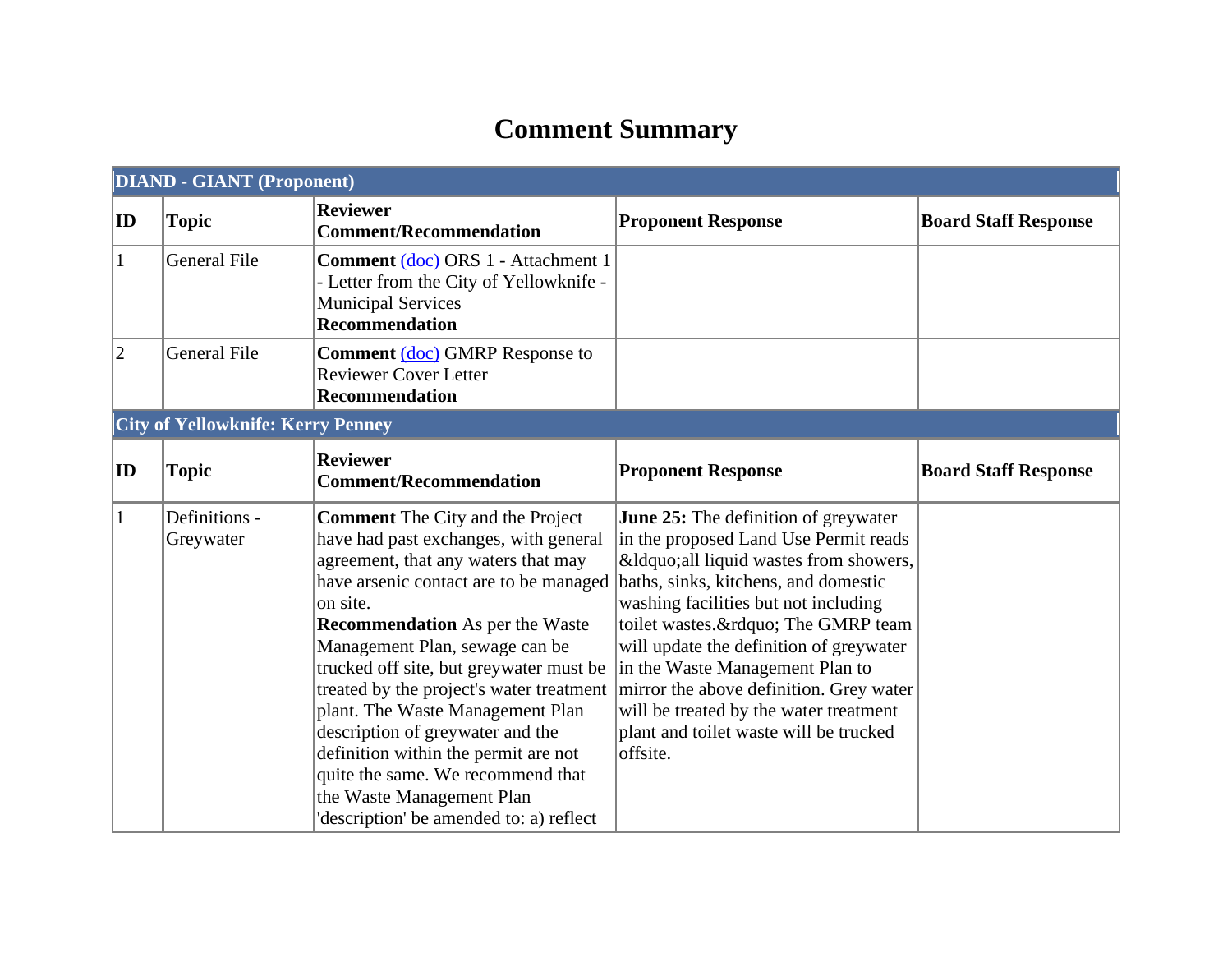## **Comment Summary**

|              | <b>DIAND - GIANT (Proponent)</b>         |                                                                                                                                                                                                                                                                                                                                                                                                                                                                                                                                                                               |                                                                                                                                                                                                                                                                                                                                                                                                                                                                    |                             |  |  |
|--------------|------------------------------------------|-------------------------------------------------------------------------------------------------------------------------------------------------------------------------------------------------------------------------------------------------------------------------------------------------------------------------------------------------------------------------------------------------------------------------------------------------------------------------------------------------------------------------------------------------------------------------------|--------------------------------------------------------------------------------------------------------------------------------------------------------------------------------------------------------------------------------------------------------------------------------------------------------------------------------------------------------------------------------------------------------------------------------------------------------------------|-----------------------------|--|--|
| ID           | <b>Topic</b>                             | <b>Reviewer</b><br><b>Comment/Recommendation</b>                                                                                                                                                                                                                                                                                                                                                                                                                                                                                                                              | <b>Proponent Response</b>                                                                                                                                                                                                                                                                                                                                                                                                                                          | <b>Board Staff Response</b> |  |  |
| $\mathbf{1}$ | <b>General File</b>                      | Comment (doc) ORS 1 - Attachment 1<br>- Letter from the City of Yellowknife -<br><b>Municipal Services</b><br><b>Recommendation</b>                                                                                                                                                                                                                                                                                                                                                                                                                                           |                                                                                                                                                                                                                                                                                                                                                                                                                                                                    |                             |  |  |
| $ 2\rangle$  | <b>General File</b>                      | <b>Comment</b> (doc) GMRP Response to<br><b>Reviewer Cover Letter</b><br><b>Recommendation</b>                                                                                                                                                                                                                                                                                                                                                                                                                                                                                |                                                                                                                                                                                                                                                                                                                                                                                                                                                                    |                             |  |  |
|              | <b>City of Yellowknife: Kerry Penney</b> |                                                                                                                                                                                                                                                                                                                                                                                                                                                                                                                                                                               |                                                                                                                                                                                                                                                                                                                                                                                                                                                                    |                             |  |  |
| $ {\bf ID} $ | <b>Topic</b>                             | <b>Reviewer</b><br><b>Comment/Recommendation</b>                                                                                                                                                                                                                                                                                                                                                                                                                                                                                                                              | <b>Proponent Response</b>                                                                                                                                                                                                                                                                                                                                                                                                                                          | <b>Board Staff Response</b> |  |  |
| 1            | Definitions -<br>Greywater               | <b>Comment</b> The City and the Project<br>have had past exchanges, with general<br>agreement, that any waters that may<br>have arsenic contact are to be managed<br>on site.<br><b>Recommendation</b> As per the Waste<br>Management Plan, sewage can be<br>trucked off site, but greywater must be<br>treated by the project's water treatment<br>plant. The Waste Management Plan<br>description of greywater and the<br>definition within the permit are not<br>quite the same. We recommend that<br>the Waste Management Plan<br>'description' be amended to: a) reflect | <b>June 25:</b> The definition of greywater<br>in the proposed Land Use Permit reads<br>"all liquid wastes from showers,<br>baths, sinks, kitchens, and domestic<br>washing facilities but not including<br>toilet wastes." The GMRP team<br>will update the definition of greywater<br>in the Waste Management Plan to<br>mirror the above definition. Grey water<br>will be treated by the water treatment<br>plant and toilet waste will be trucked<br>offsite. |                             |  |  |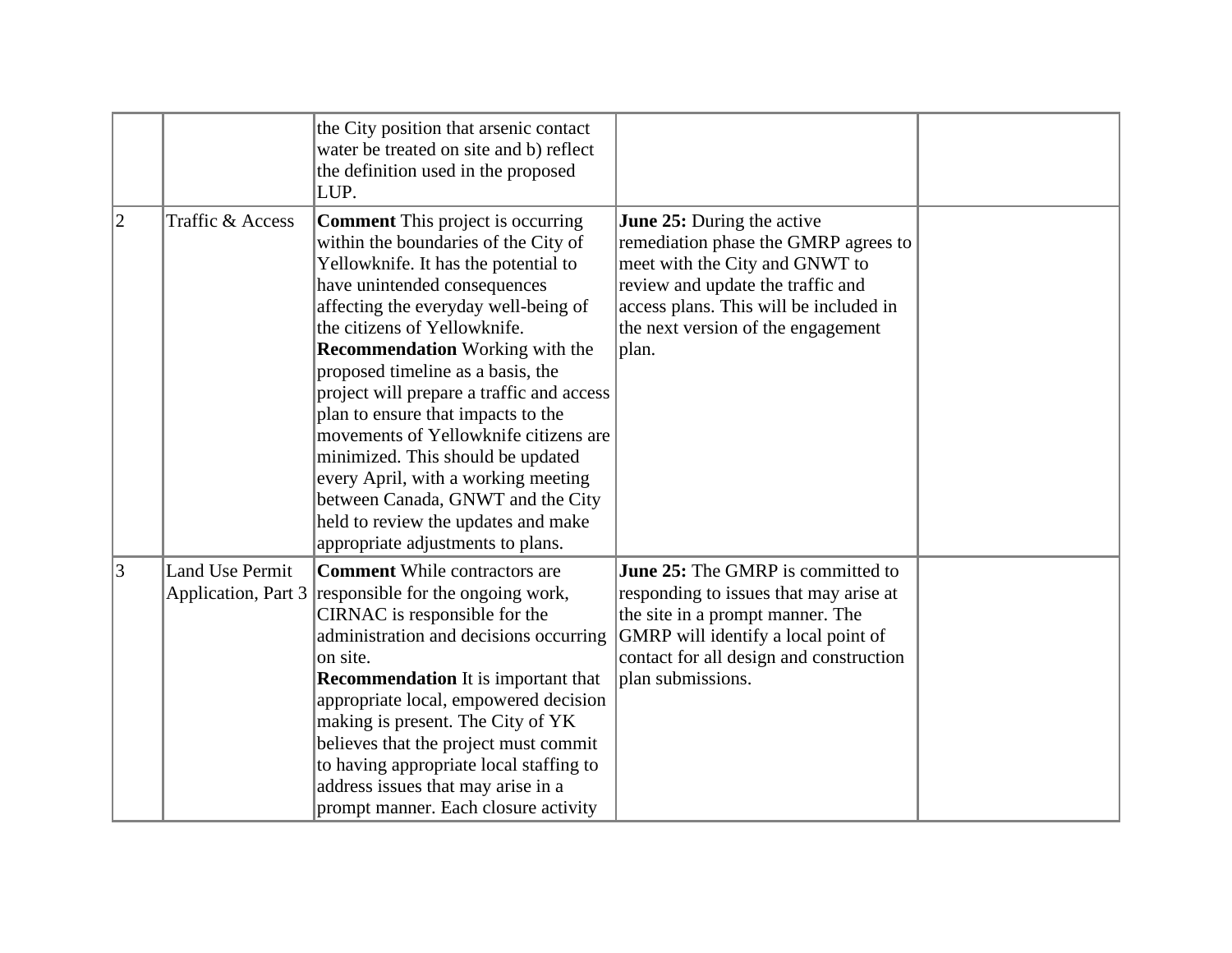|             |                        | the City position that arsenic contact<br>water be treated on site and b) reflect<br>the definition used in the proposed<br>LUP.                                                                                                                                                                                                                                                                                                                                                                                                                                                                                                         |                                                                                                                                                                                                                                    |  |
|-------------|------------------------|------------------------------------------------------------------------------------------------------------------------------------------------------------------------------------------------------------------------------------------------------------------------------------------------------------------------------------------------------------------------------------------------------------------------------------------------------------------------------------------------------------------------------------------------------------------------------------------------------------------------------------------|------------------------------------------------------------------------------------------------------------------------------------------------------------------------------------------------------------------------------------|--|
| $ 2\rangle$ | Traffic & Access       | <b>Comment</b> This project is occurring<br>within the boundaries of the City of<br>Yellowknife. It has the potential to<br>have unintended consequences<br>affecting the everyday well-being of<br>the citizens of Yellowknife.<br><b>Recommendation</b> Working with the<br>proposed timeline as a basis, the<br>project will prepare a traffic and access<br>plan to ensure that impacts to the<br>movements of Yellowknife citizens are<br>minimized. This should be updated<br>every April, with a working meeting<br>between Canada, GNWT and the City<br>held to review the updates and make<br>appropriate adjustments to plans. | June 25: During the active<br>remediation phase the GMRP agrees to<br>meet with the City and GNWT to<br>review and update the traffic and<br>access plans. This will be included in<br>the next version of the engagement<br>plan. |  |
| 3           | <b>Land Use Permit</b> | <b>Comment</b> While contractors are<br>Application, Part $3$ responsible for the ongoing work,<br>CIRNAC is responsible for the<br>administration and decisions occurring<br>on site.<br><b>Recommendation</b> It is important that<br>appropriate local, empowered decision<br>making is present. The City of YK<br>believes that the project must commit<br>to having appropriate local staffing to<br>address issues that may arise in a<br>prompt manner. Each closure activity                                                                                                                                                     | June 25: The GMRP is committed to<br>responding to issues that may arise at<br>the site in a prompt manner. The<br>GMRP will identify a local point of<br>contact for all design and construction<br>plan submissions.             |  |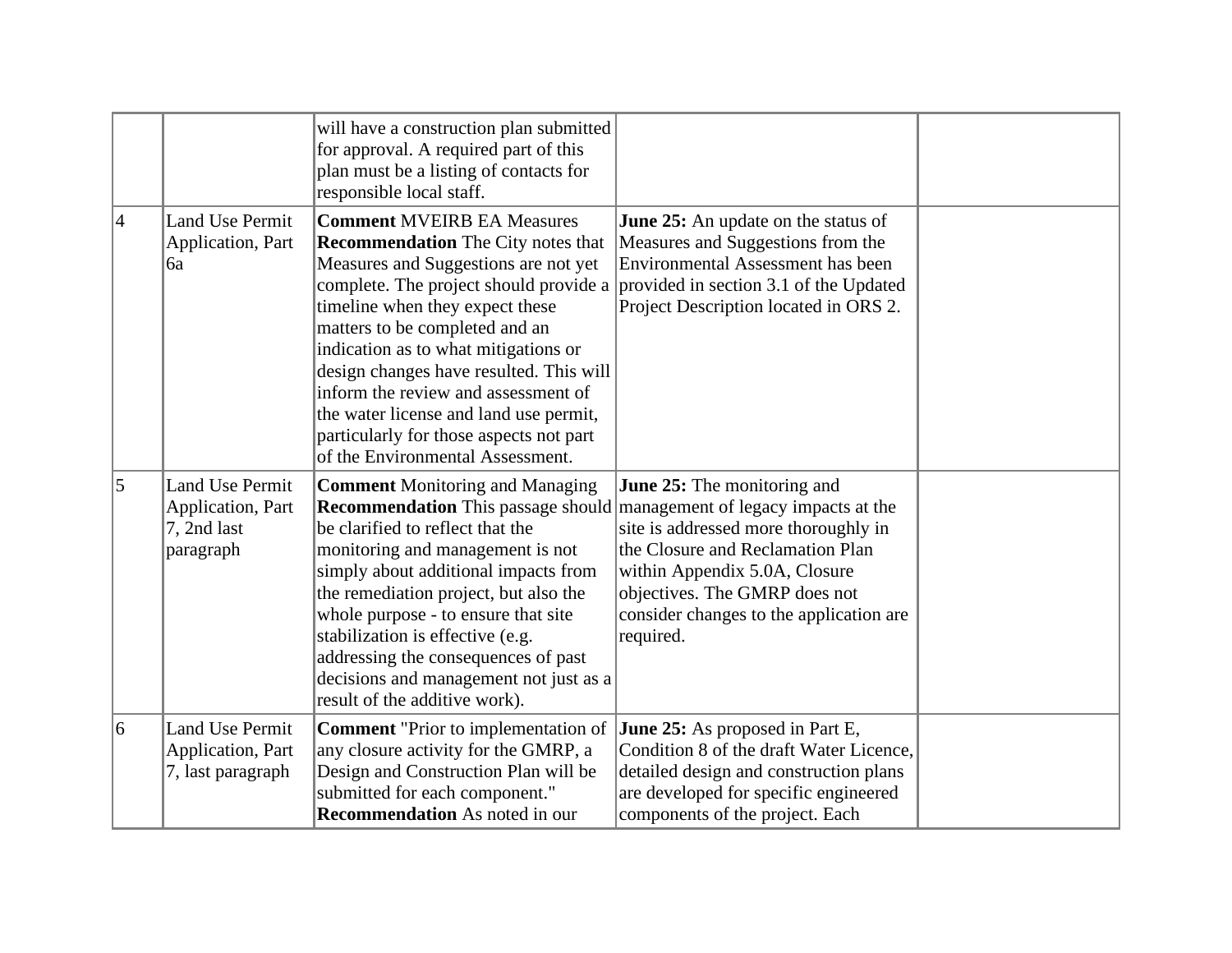|                 |                                                                         | will have a construction plan submitted<br>for approval. A required part of this<br>plan must be a listing of contacts for<br>responsible local staff.                                                                                                                                                                                                                                                                                                                                                                          |                                                                                                                                                                                                                                          |  |
|-----------------|-------------------------------------------------------------------------|---------------------------------------------------------------------------------------------------------------------------------------------------------------------------------------------------------------------------------------------------------------------------------------------------------------------------------------------------------------------------------------------------------------------------------------------------------------------------------------------------------------------------------|------------------------------------------------------------------------------------------------------------------------------------------------------------------------------------------------------------------------------------------|--|
| $\vert 4 \vert$ | Land Use Permit<br>Application, Part<br>6a                              | <b>Comment MVEIRB EA Measures</b><br><b>Recommendation</b> The City notes that<br>Measures and Suggestions are not yet<br>complete. The project should provide a provided in section 3.1 of the Updated<br>timeline when they expect these<br>matters to be completed and an<br>indication as to what mitigations or<br>design changes have resulted. This will<br>inform the review and assessment of<br>the water license and land use permit,<br>particularly for those aspects not part<br>of the Environmental Assessment. | <b>June 25:</b> An update on the status of<br>Measures and Suggestions from the<br>Environmental Assessment has been<br>Project Description located in ORS 2.                                                                            |  |
| $\overline{5}$  | <b>Land Use Permit</b><br>Application, Part<br>7, 2nd last<br>paragraph | <b>Comment Monitoring and Managing</b><br><b>Recommendation</b> This passage should management of legacy impacts at the<br>be clarified to reflect that the<br>monitoring and management is not<br>simply about additional impacts from<br>the remediation project, but also the<br>whole purpose - to ensure that site<br>stabilization is effective (e.g.<br>addressing the consequences of past<br>decisions and management not just as a<br>result of the additive work).                                                   | <b>June 25:</b> The monitoring and<br>site is addressed more thoroughly in<br>the Closure and Reclamation Plan<br>within Appendix 5.0A, Closure<br>objectives. The GMRP does not<br>consider changes to the application are<br>required. |  |
| 6               | Land Use Permit<br>Application, Part<br>7, last paragraph               | <b>Comment</b> "Prior to implementation of<br>any closure activity for the GMRP, a<br>Design and Construction Plan will be<br>submitted for each component."<br><b>Recommendation</b> As noted in our                                                                                                                                                                                                                                                                                                                           | <b>June 25:</b> As proposed in Part E,<br>Condition 8 of the draft Water Licence,<br>detailed design and construction plans<br>are developed for specific engineered<br>components of the project. Each                                  |  |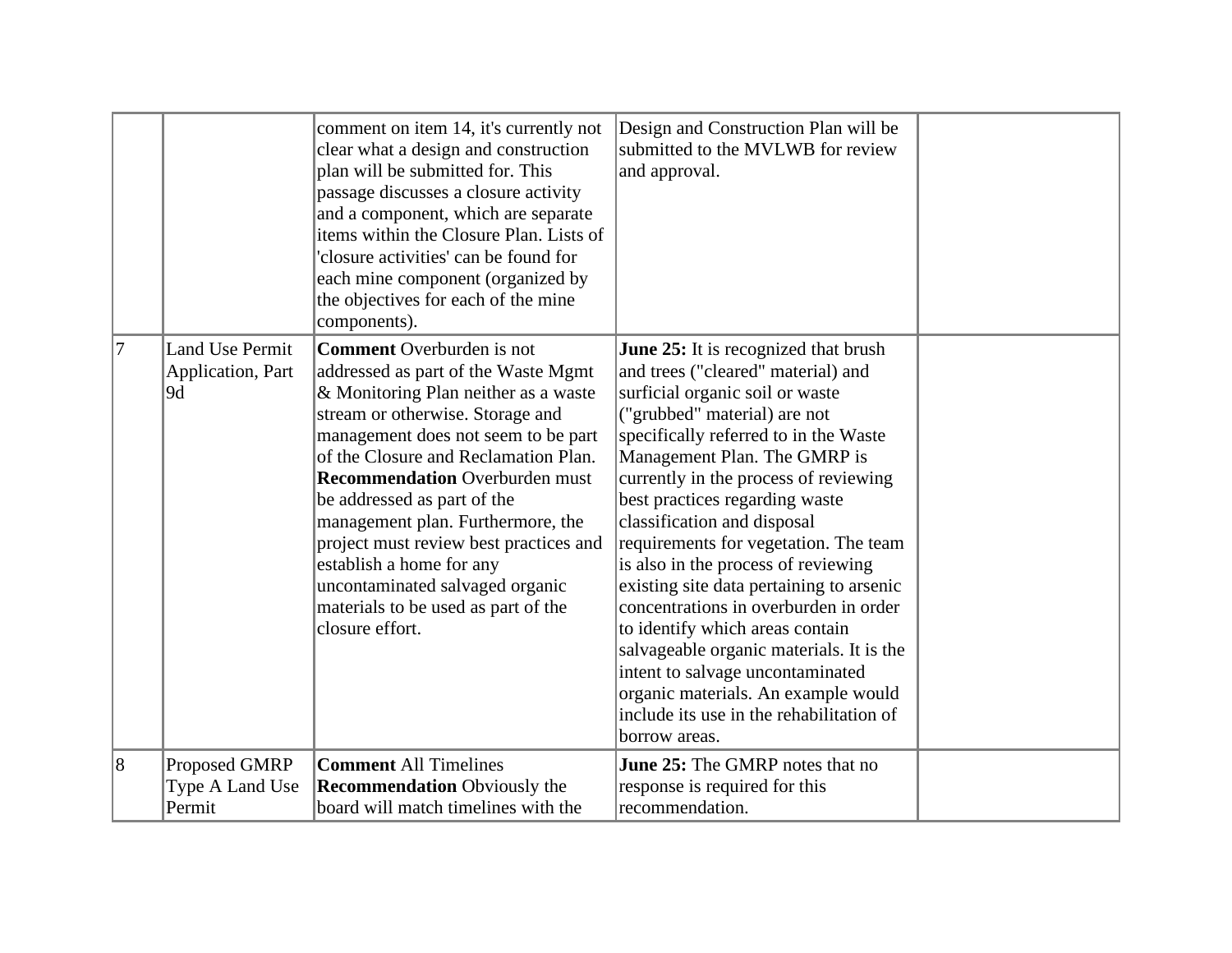|                |                                                   | comment on item 14, it's currently not<br>clear what a design and construction<br>plan will be submitted for. This<br>passage discusses a closure activity<br>and a component, which are separate<br>items within the Closure Plan. Lists of<br>'closure activities' can be found for<br>each mine component (organized by<br>the objectives for each of the mine<br>components).                                                                                                                                  | Design and Construction Plan will be<br>submitted to the MVLWB for review<br>and approval.                                                                                                                                                                                                                                                                                                                                                                                                                                                                                                                                                                                                                                          |  |
|----------------|---------------------------------------------------|--------------------------------------------------------------------------------------------------------------------------------------------------------------------------------------------------------------------------------------------------------------------------------------------------------------------------------------------------------------------------------------------------------------------------------------------------------------------------------------------------------------------|-------------------------------------------------------------------------------------------------------------------------------------------------------------------------------------------------------------------------------------------------------------------------------------------------------------------------------------------------------------------------------------------------------------------------------------------------------------------------------------------------------------------------------------------------------------------------------------------------------------------------------------------------------------------------------------------------------------------------------------|--|
| 7              | <b>Land Use Permit</b><br>Application, Part<br>9d | <b>Comment</b> Overburden is not<br>addressed as part of the Waste Mgmt<br>& Monitoring Plan neither as a waste<br>stream or otherwise. Storage and<br>management does not seem to be part<br>of the Closure and Reclamation Plan.<br><b>Recommendation Overburden must</b><br>be addressed as part of the<br>management plan. Furthermore, the<br>project must review best practices and<br>establish a home for any<br>uncontaminated salvaged organic<br>materials to be used as part of the<br>closure effort. | <b>June 25:</b> It is recognized that brush<br>and trees ("cleared" material) and<br>surficial organic soil or waste<br>("grubbed" material) are not<br>specifically referred to in the Waste<br>Management Plan. The GMRP is<br>currently in the process of reviewing<br>best practices regarding waste<br>classification and disposal<br>requirements for vegetation. The team<br>is also in the process of reviewing<br>existing site data pertaining to arsenic<br>concentrations in overburden in order<br>to identify which areas contain<br>salvageable organic materials. It is the<br>intent to salvage uncontaminated<br>organic materials. An example would<br>include its use in the rehabilitation of<br>borrow areas. |  |
| $\overline{8}$ | Proposed GMRP                                     | <b>Comment All Timelines</b>                                                                                                                                                                                                                                                                                                                                                                                                                                                                                       | <b>June 25:</b> The GMRP notes that no                                                                                                                                                                                                                                                                                                                                                                                                                                                                                                                                                                                                                                                                                              |  |
|                | Type A Land Use                                   | <b>Recommendation</b> Obviously the                                                                                                                                                                                                                                                                                                                                                                                                                                                                                | response is required for this                                                                                                                                                                                                                                                                                                                                                                                                                                                                                                                                                                                                                                                                                                       |  |
|                | Permit                                            | board will match timelines with the                                                                                                                                                                                                                                                                                                                                                                                                                                                                                | recommendation.                                                                                                                                                                                                                                                                                                                                                                                                                                                                                                                                                                                                                                                                                                                     |  |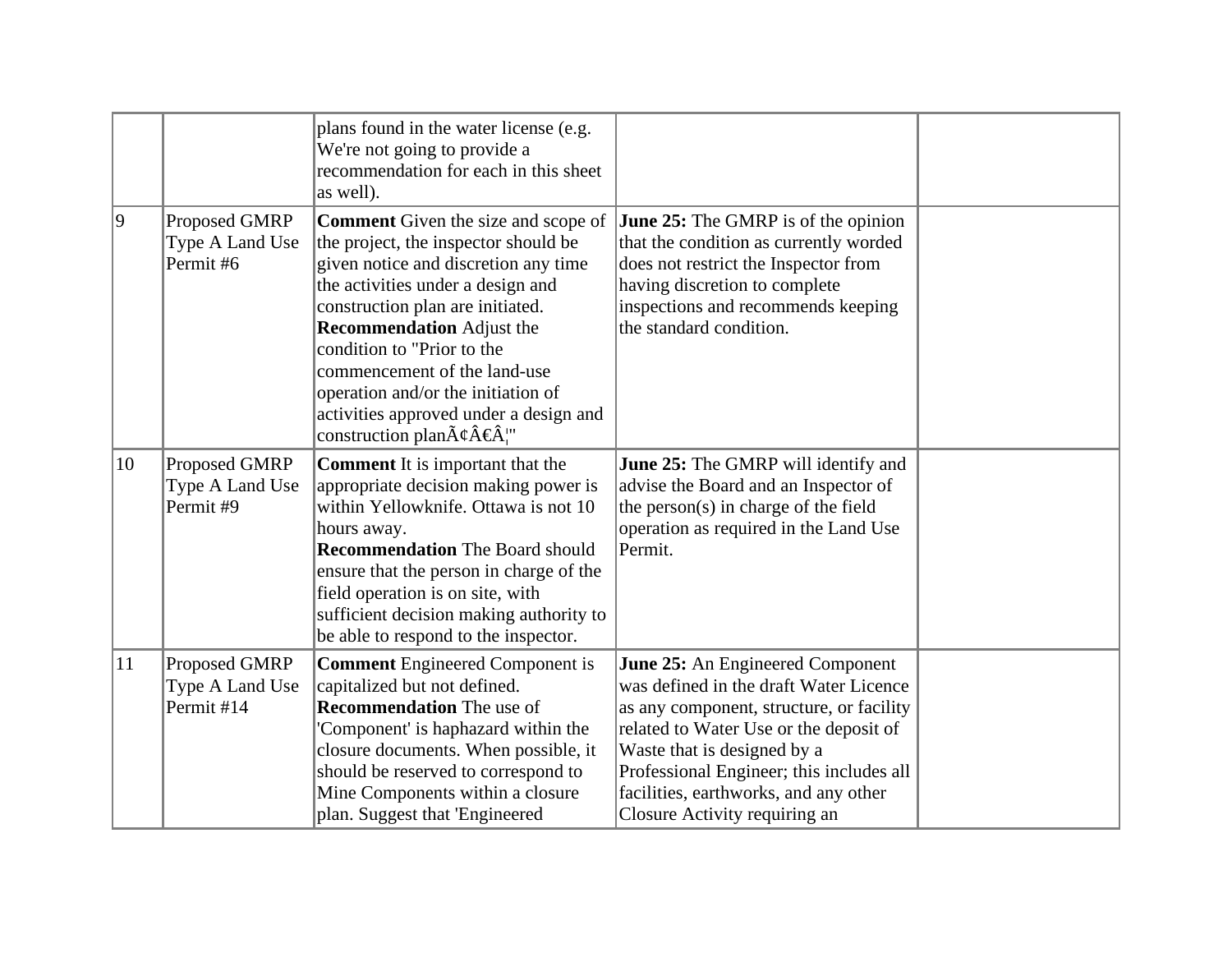|              |                                                | plans found in the water license (e.g.<br>We're not going to provide a<br>recommendation for each in this sheet<br>as well).                                                                                                                                                                                                                                                                                                                 |                                                                                                                                                                                                                                                                                                                       |  |
|--------------|------------------------------------------------|----------------------------------------------------------------------------------------------------------------------------------------------------------------------------------------------------------------------------------------------------------------------------------------------------------------------------------------------------------------------------------------------------------------------------------------------|-----------------------------------------------------------------------------------------------------------------------------------------------------------------------------------------------------------------------------------------------------------------------------------------------------------------------|--|
| $ 9\rangle$  | Proposed GMRP<br>Type A Land Use<br>Permit #6  | <b>Comment</b> Given the size and scope of<br>the project, the inspector should be<br>given notice and discretion any time<br>the activities under a design and<br>construction plan are initiated.<br><b>Recommendation</b> Adjust the<br>condition to "Prior to the<br>commencement of the land-use<br>operation and/or the initiation of<br>activities approved under a design and<br>construction plan $\tilde{A}\xi\hat{A}\xi\hat{A}$ " | <b>June 25:</b> The GMRP is of the opinion<br>that the condition as currently worded<br>does not restrict the Inspector from<br>having discretion to complete<br>inspections and recommends keeping<br>the standard condition.                                                                                        |  |
| 10           | Proposed GMRP<br>Type A Land Use<br>Permit #9  | <b>Comment</b> It is important that the<br>appropriate decision making power is<br>within Yellowknife. Ottawa is not 10<br>hours away.<br><b>Recommendation</b> The Board should<br>ensure that the person in charge of the<br>field operation is on site, with<br>sufficient decision making authority to<br>be able to respond to the inspector.                                                                                           | <b>June 25:</b> The GMRP will identify and<br>advise the Board and an Inspector of<br>the person(s) in charge of the field<br>operation as required in the Land Use<br>Permit.                                                                                                                                        |  |
| $ 11\rangle$ | Proposed GMRP<br>Type A Land Use<br>Permit #14 | <b>Comment Engineered Component is</b><br>capitalized but not defined.<br><b>Recommendation</b> The use of<br>'Component' is haphazard within the<br>closure documents. When possible, it<br>should be reserved to correspond to<br>Mine Components within a closure<br>plan. Suggest that 'Engineered                                                                                                                                       | June 25: An Engineered Component<br>was defined in the draft Water Licence<br>as any component, structure, or facility<br>related to Water Use or the deposit of<br>Waste that is designed by a<br>Professional Engineer; this includes all<br>facilities, earthworks, and any other<br>Closure Activity requiring an |  |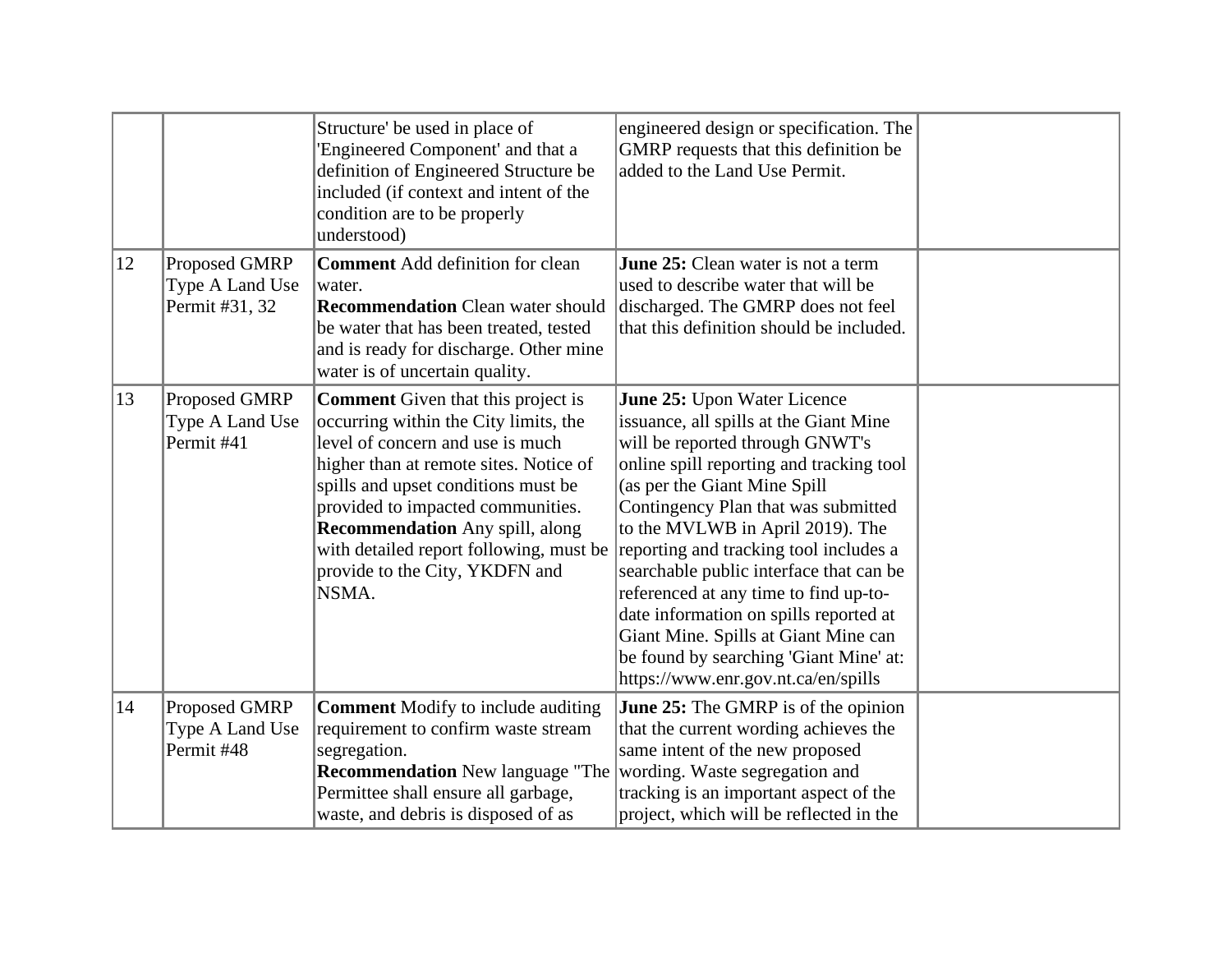|    |                                                    | Structure' be used in place of<br>'Engineered Component' and that a<br>definition of Engineered Structure be<br>included (if context and intent of the<br>condition are to be properly<br>understood)                                                                                                                                                                        | engineered design or specification. The<br>GMRP requests that this definition be<br>added to the Land Use Permit.                                                                                                                                                                                                                                                                                                                                                                                                                                                |  |
|----|----------------------------------------------------|------------------------------------------------------------------------------------------------------------------------------------------------------------------------------------------------------------------------------------------------------------------------------------------------------------------------------------------------------------------------------|------------------------------------------------------------------------------------------------------------------------------------------------------------------------------------------------------------------------------------------------------------------------------------------------------------------------------------------------------------------------------------------------------------------------------------------------------------------------------------------------------------------------------------------------------------------|--|
| 12 | Proposed GMRP<br>Type A Land Use<br>Permit #31, 32 | <b>Comment</b> Add definition for clean<br>water.<br><b>Recommendation</b> Clean water should<br>be water that has been treated, tested<br>and is ready for discharge. Other mine<br>water is of uncertain quality.                                                                                                                                                          | June 25: Clean water is not a term<br>used to describe water that will be<br>discharged. The GMRP does not feel<br>that this definition should be included.                                                                                                                                                                                                                                                                                                                                                                                                      |  |
| 13 | Proposed GMRP<br>Type A Land Use<br>Permit #41     | <b>Comment</b> Given that this project is<br>occurring within the City limits, the<br>level of concern and use is much<br>higher than at remote sites. Notice of<br>spills and upset conditions must be<br>provided to impacted communities.<br><b>Recommendation</b> Any spill, along<br>with detailed report following, must be<br>provide to the City, YKDFN and<br>NSMA. | June 25: Upon Water Licence<br>issuance, all spills at the Giant Mine<br>will be reported through GNWT's<br>online spill reporting and tracking tool<br>(as per the Giant Mine Spill<br>Contingency Plan that was submitted<br>to the MVLWB in April 2019). The<br>reporting and tracking tool includes a<br>searchable public interface that can be<br>referenced at any time to find up-to-<br>date information on spills reported at<br>Giant Mine. Spills at Giant Mine can<br>be found by searching 'Giant Mine' at:<br>https://www.enr.gov.nt.ca/en/spills |  |
| 14 | Proposed GMRP<br>Type A Land Use<br>Permit #48     | <b>Comment</b> Modify to include auditing<br>requirement to confirm waste stream<br>segregation.<br><b>Recommendation</b> New language "The<br>Permittee shall ensure all garbage,<br>waste, and debris is disposed of as                                                                                                                                                    | <b>June 25:</b> The GMRP is of the opinion<br>that the current wording achieves the<br>same intent of the new proposed<br>wording. Waste segregation and<br>tracking is an important aspect of the<br>project, which will be reflected in the                                                                                                                                                                                                                                                                                                                    |  |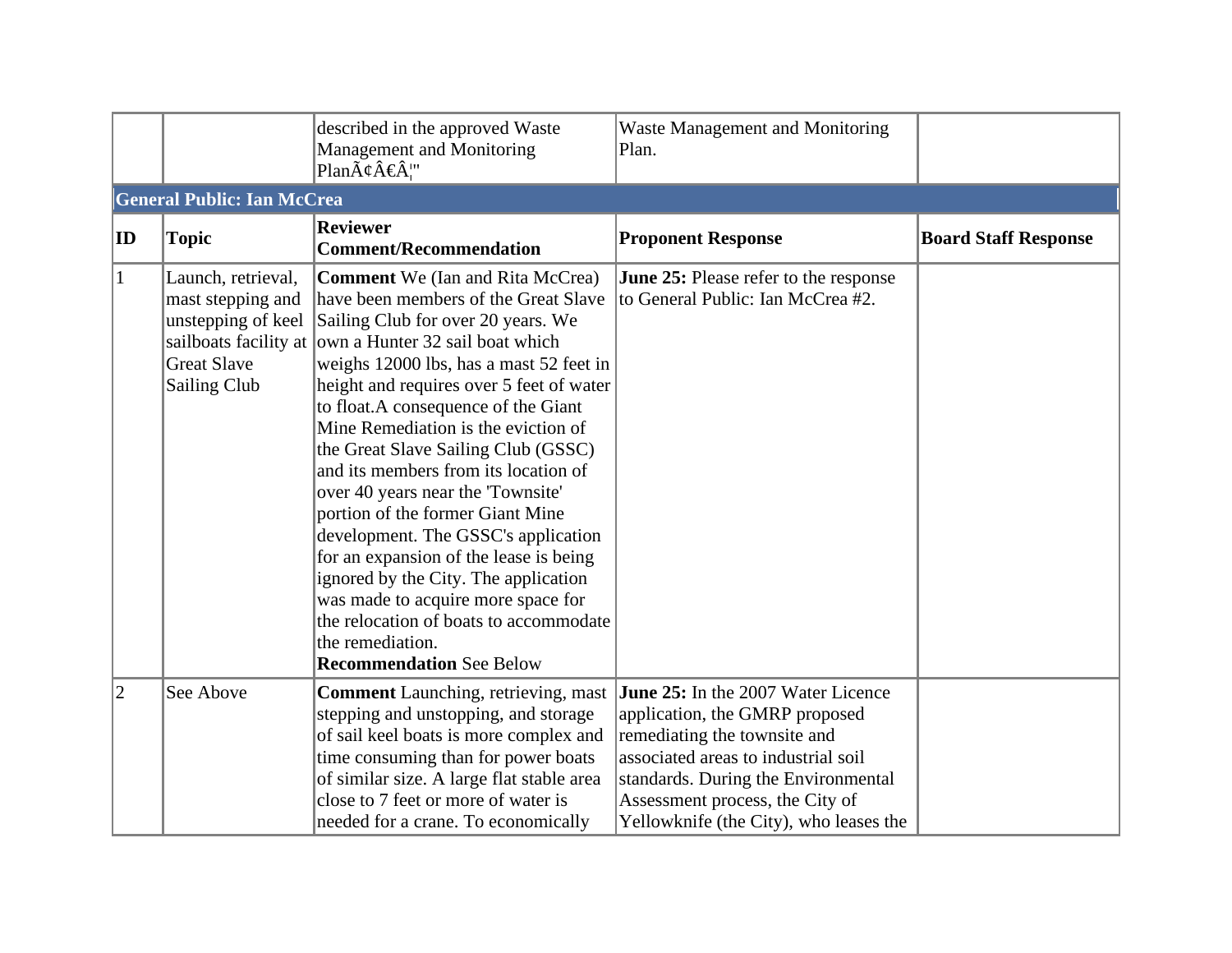|    |                                                                               | described in the approved Waste<br>Management and Monitoring<br>Plan $\tilde{A}\xi\hat{A}\xi\hat{A}$ "                                                                                                                                                                                                                                                                                                                                                                                                                                                                                                                                                                                                                                                                                  | <b>Waste Management and Monitoring</b><br>Plan.                                                                                                                                                                                                                 |                             |
|----|-------------------------------------------------------------------------------|-----------------------------------------------------------------------------------------------------------------------------------------------------------------------------------------------------------------------------------------------------------------------------------------------------------------------------------------------------------------------------------------------------------------------------------------------------------------------------------------------------------------------------------------------------------------------------------------------------------------------------------------------------------------------------------------------------------------------------------------------------------------------------------------|-----------------------------------------------------------------------------------------------------------------------------------------------------------------------------------------------------------------------------------------------------------------|-----------------------------|
|    | <b>General Public: Ian McCrea</b>                                             |                                                                                                                                                                                                                                                                                                                                                                                                                                                                                                                                                                                                                                                                                                                                                                                         |                                                                                                                                                                                                                                                                 |                             |
| ID | <b>Topic</b>                                                                  | <b>Reviewer</b><br><b>Comment/Recommendation</b>                                                                                                                                                                                                                                                                                                                                                                                                                                                                                                                                                                                                                                                                                                                                        | <b>Proponent Response</b>                                                                                                                                                                                                                                       | <b>Board Staff Response</b> |
| 1  | Launch, retrieval,<br>mast stepping and<br><b>Great Slave</b><br>Sailing Club | Comment We (Ian and Rita McCrea)<br>have been members of the Great Slave<br>unstepping of keel Sailing Club for over 20 years. We<br>sailboats facility at own a Hunter 32 sail boat which<br>weighs 12000 lbs, has a mast 52 feet in<br>height and requires over 5 feet of water<br>to float.A consequence of the Giant<br>Mine Remediation is the eviction of<br>the Great Slave Sailing Club (GSSC)<br>and its members from its location of<br>over 40 years near the 'Townsite'<br>portion of the former Giant Mine<br>development. The GSSC's application<br>for an expansion of the lease is being<br>ignored by the City. The application<br>was made to acquire more space for<br>the relocation of boats to accommodate<br>the remediation.<br><b>Recommendation See Below</b> | <b>June 25:</b> Please refer to the response<br>to General Public: Ian McCrea #2.                                                                                                                                                                               |                             |
| 2  | See Above                                                                     | <b>Comment</b> Launching, retrieving, mast<br>stepping and unstopping, and storage<br>of sail keel boats is more complex and<br>time consuming than for power boats<br>of similar size. A large flat stable area<br>close to 7 feet or more of water is<br>needed for a crane. To economically                                                                                                                                                                                                                                                                                                                                                                                                                                                                                          | June 25: In the 2007 Water Licence<br>application, the GMRP proposed<br>remediating the townsite and<br>associated areas to industrial soil<br>standards. During the Environmental<br>Assessment process, the City of<br>Yellowknife (the City), who leases the |                             |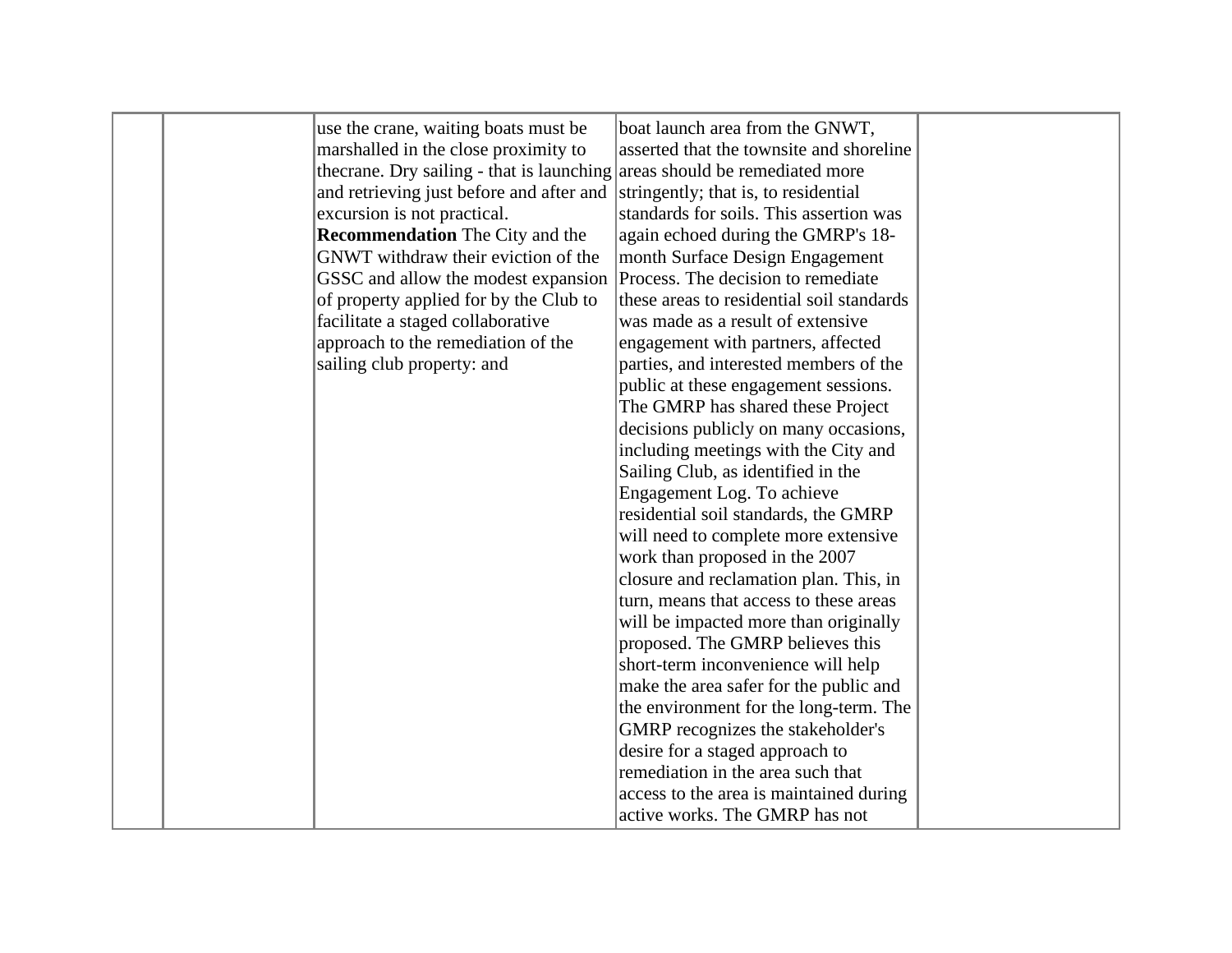|  | use the crane, waiting boats must be                                       | boat launch area from the GNWT,           |  |
|--|----------------------------------------------------------------------------|-------------------------------------------|--|
|  | marshalled in the close proximity to                                       | asserted that the townsite and shoreline  |  |
|  |                                                                            |                                           |  |
|  | the crane. Dry sailing - that is launching areas should be remediated more |                                           |  |
|  | and retrieving just before and after and                                   | stringently; that is, to residential      |  |
|  | excursion is not practical.                                                | standards for soils. This assertion was   |  |
|  | <b>Recommendation</b> The City and the                                     | again echoed during the GMRP's 18-        |  |
|  | GNWT withdraw their eviction of the                                        | month Surface Design Engagement           |  |
|  | GSSC and allow the modest expansion                                        | Process. The decision to remediate        |  |
|  | of property applied for by the Club to                                     | these areas to residential soil standards |  |
|  | facilitate a staged collaborative                                          | was made as a result of extensive         |  |
|  | approach to the remediation of the                                         | engagement with partners, affected        |  |
|  | sailing club property: and                                                 | parties, and interested members of the    |  |
|  |                                                                            | public at these engagement sessions.      |  |
|  |                                                                            | The GMRP has shared these Project         |  |
|  |                                                                            | decisions publicly on many occasions,     |  |
|  |                                                                            | including meetings with the City and      |  |
|  |                                                                            | Sailing Club, as identified in the        |  |
|  |                                                                            | Engagement Log. To achieve                |  |
|  |                                                                            | residential soil standards, the GMRP      |  |
|  |                                                                            | will need to complete more extensive      |  |
|  |                                                                            | work than proposed in the 2007            |  |
|  |                                                                            | closure and reclamation plan. This, in    |  |
|  |                                                                            | turn, means that access to these areas    |  |
|  |                                                                            | will be impacted more than originally     |  |
|  |                                                                            | proposed. The GMRP believes this          |  |
|  |                                                                            | short-term inconvenience will help        |  |
|  |                                                                            | make the area safer for the public and    |  |
|  |                                                                            | the environment for the long-term. The    |  |
|  |                                                                            | GMRP recognizes the stakeholder's         |  |
|  |                                                                            |                                           |  |
|  |                                                                            | desire for a staged approach to           |  |
|  |                                                                            | remediation in the area such that         |  |
|  |                                                                            | access to the area is maintained during   |  |
|  |                                                                            | active works. The GMRP has not            |  |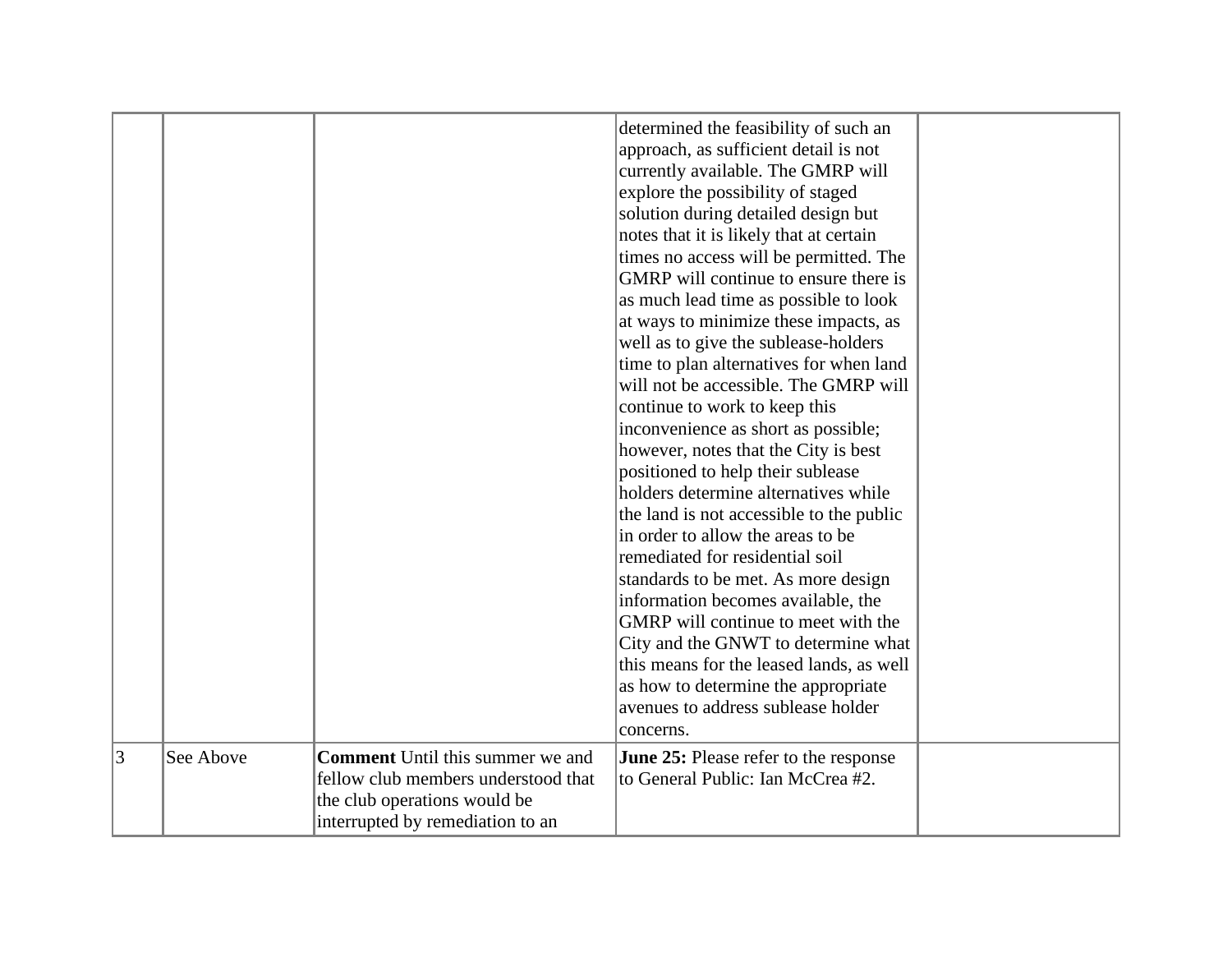|   |           |                                         | determined the feasibility of such an        |  |
|---|-----------|-----------------------------------------|----------------------------------------------|--|
|   |           |                                         | approach, as sufficient detail is not        |  |
|   |           |                                         | currently available. The GMRP will           |  |
|   |           |                                         | explore the possibility of staged            |  |
|   |           |                                         | solution during detailed design but          |  |
|   |           |                                         | notes that it is likely that at certain      |  |
|   |           |                                         | times no access will be permitted. The       |  |
|   |           |                                         | GMRP will continue to ensure there is        |  |
|   |           |                                         | as much lead time as possible to look        |  |
|   |           |                                         | at ways to minimize these impacts, as        |  |
|   |           |                                         | well as to give the sublease-holders         |  |
|   |           |                                         | time to plan alternatives for when land      |  |
|   |           |                                         | will not be accessible. The GMRP will        |  |
|   |           |                                         | continue to work to keep this                |  |
|   |           |                                         | inconvenience as short as possible;          |  |
|   |           |                                         | however, notes that the City is best         |  |
|   |           |                                         | positioned to help their sublease            |  |
|   |           |                                         | holders determine alternatives while         |  |
|   |           |                                         | the land is not accessible to the public     |  |
|   |           |                                         | in order to allow the areas to be            |  |
|   |           |                                         | remediated for residential soil              |  |
|   |           |                                         | standards to be met. As more design          |  |
|   |           |                                         | information becomes available, the           |  |
|   |           |                                         | GMRP will continue to meet with the          |  |
|   |           |                                         | City and the GNWT to determine what          |  |
|   |           |                                         | this means for the leased lands, as well     |  |
|   |           |                                         | as how to determine the appropriate          |  |
|   |           |                                         | avenues to address sublease holder           |  |
|   |           |                                         |                                              |  |
|   |           |                                         | concerns.                                    |  |
| 3 | See Above | <b>Comment</b> Until this summer we and | <b>June 25:</b> Please refer to the response |  |
|   |           | fellow club members understood that     | to General Public: Ian McCrea #2.            |  |
|   |           | the club operations would be            |                                              |  |
|   |           | interrupted by remediation to an        |                                              |  |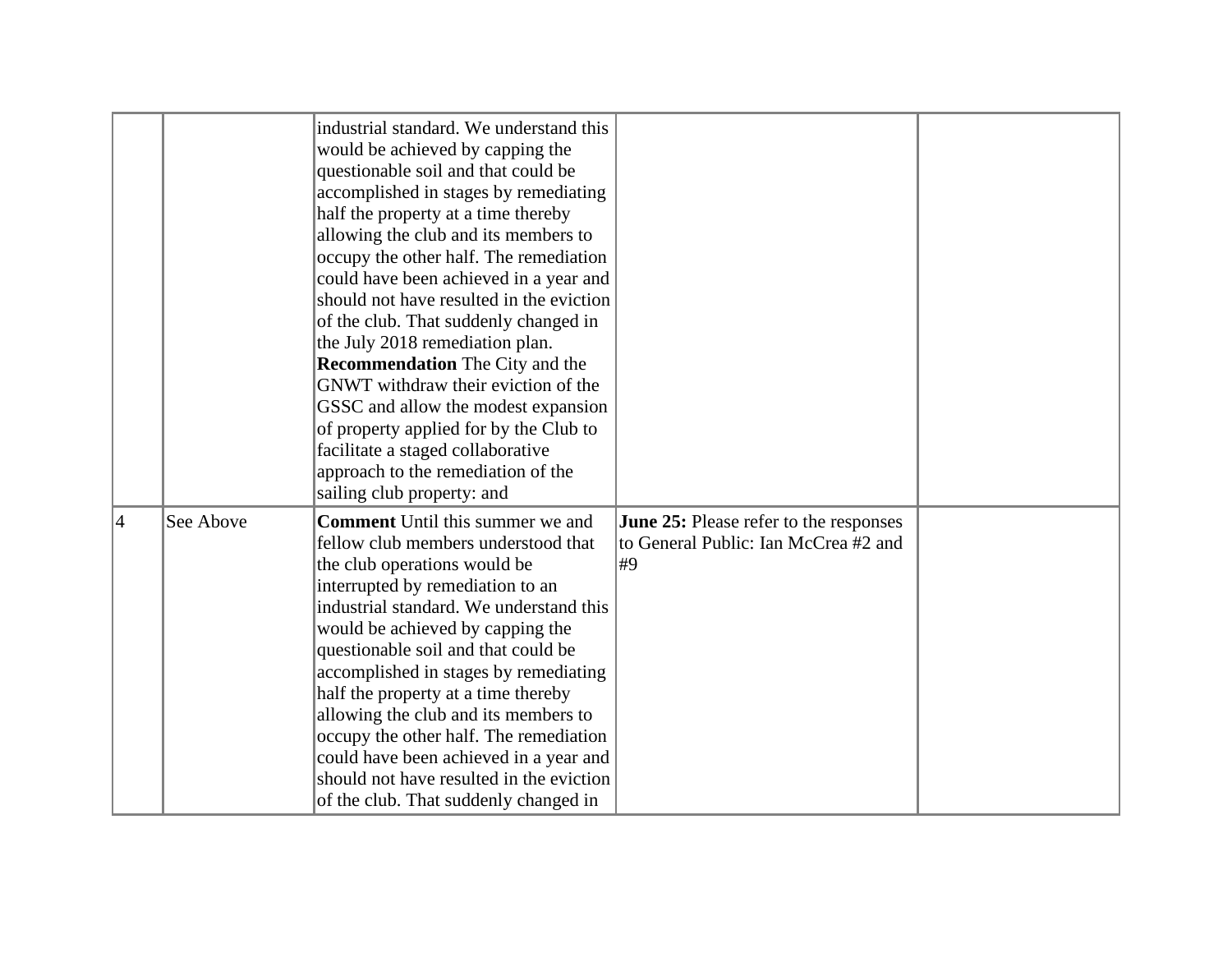|   |           | industrial standard. We understand this<br>would be achieved by capping the<br>questionable soil and that could be<br>accomplished in stages by remediating<br>half the property at a time thereby<br>allowing the club and its members to<br>occupy the other half. The remediation<br>could have been achieved in a year and<br>should not have resulted in the eviction<br>of the club. That suddenly changed in<br>the July 2018 remediation plan.<br><b>Recommendation</b> The City and the<br>GNWT withdraw their eviction of the<br>GSSC and allow the modest expansion<br>of property applied for by the Club to<br>facilitate a staged collaborative<br>approach to the remediation of the<br>sailing club property: and |                                                                                             |  |
|---|-----------|-----------------------------------------------------------------------------------------------------------------------------------------------------------------------------------------------------------------------------------------------------------------------------------------------------------------------------------------------------------------------------------------------------------------------------------------------------------------------------------------------------------------------------------------------------------------------------------------------------------------------------------------------------------------------------------------------------------------------------------|---------------------------------------------------------------------------------------------|--|
| 4 | See Above | <b>Comment</b> Until this summer we and<br>fellow club members understood that<br>the club operations would be<br>interrupted by remediation to an<br>industrial standard. We understand this<br>would be achieved by capping the<br>questionable soil and that could be<br>accomplished in stages by remediating<br>half the property at a time thereby<br>allowing the club and its members to<br>occupy the other half. The remediation<br>could have been achieved in a year and<br>should not have resulted in the eviction<br>of the club. That suddenly changed in                                                                                                                                                         | <b>June 25:</b> Please refer to the responses<br>to General Public: Ian McCrea #2 and<br>#9 |  |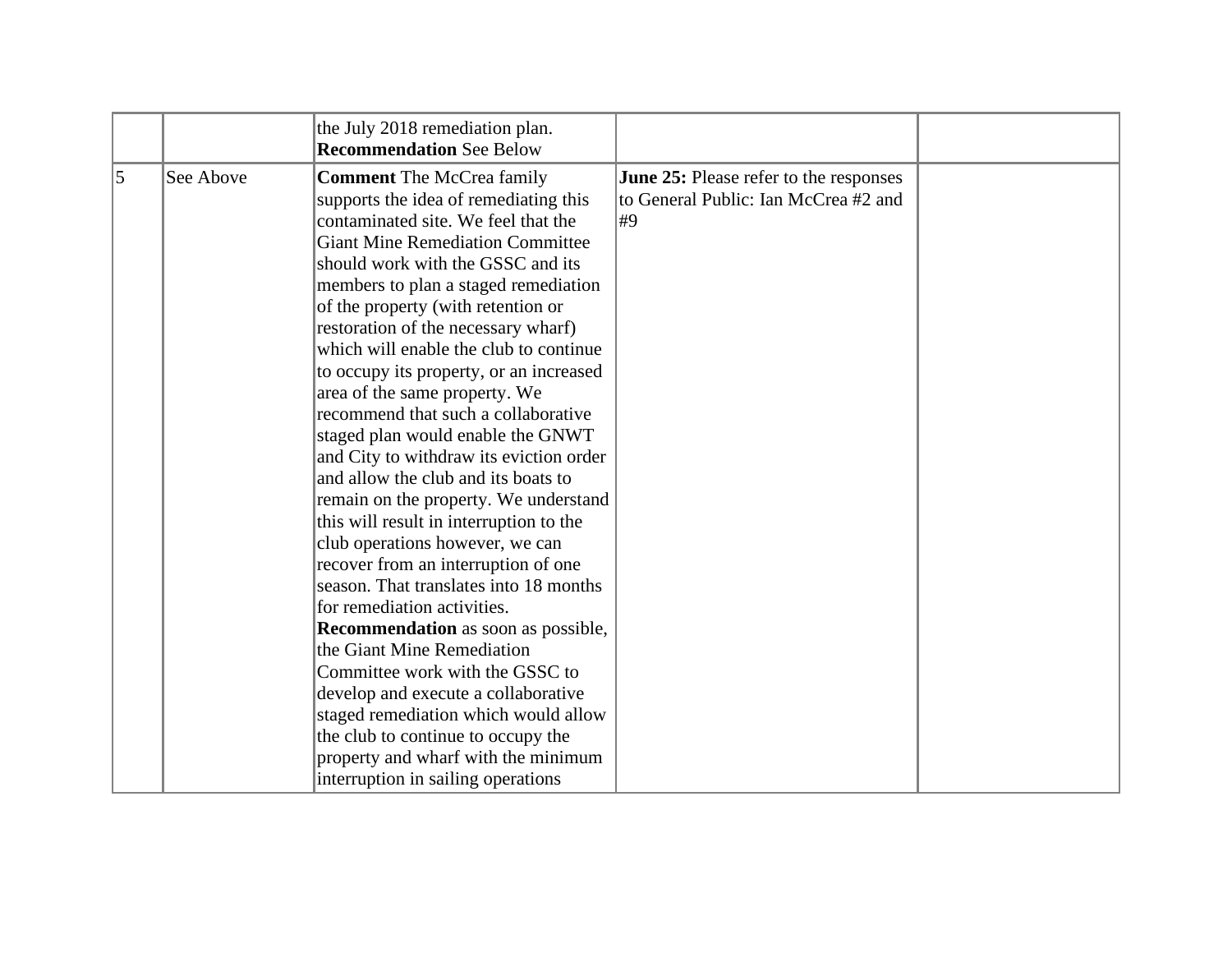|           |           | the July 2018 remediation plan.<br><b>Recommendation See Below</b>                                                                                                                                                                                                                                                                                                                                                                                                                                                                                                                                                                                                                                                                                                                                                                                                                                                                                                                                     |                                                                                      |  |
|-----------|-----------|--------------------------------------------------------------------------------------------------------------------------------------------------------------------------------------------------------------------------------------------------------------------------------------------------------------------------------------------------------------------------------------------------------------------------------------------------------------------------------------------------------------------------------------------------------------------------------------------------------------------------------------------------------------------------------------------------------------------------------------------------------------------------------------------------------------------------------------------------------------------------------------------------------------------------------------------------------------------------------------------------------|--------------------------------------------------------------------------------------|--|
| $\vert$ 5 | See Above | <b>Comment</b> The McCrea family<br>supports the idea of remediating this<br>contaminated site. We feel that the<br><b>Giant Mine Remediation Committee</b><br>should work with the GSSC and its<br>members to plan a staged remediation<br>of the property (with retention or<br>restoration of the necessary wharf)<br>which will enable the club to continue<br>to occupy its property, or an increased<br>area of the same property. We<br>recommend that such a collaborative<br>staged plan would enable the GNWT<br>and City to withdraw its eviction order<br>and allow the club and its boats to<br>remain on the property. We understand<br>this will result in interruption to the<br>club operations however, we can<br>recover from an interruption of one<br>season. That translates into 18 months<br>for remediation activities.<br><b>Recommendation</b> as soon as possible,<br>the Giant Mine Remediation<br>Committee work with the GSSC to<br>develop and execute a collaborative | June 25: Please refer to the responses<br>to General Public: Ian McCrea #2 and<br>#9 |  |
|           |           | staged remediation which would allow<br>the club to continue to occupy the<br>property and wharf with the minimum                                                                                                                                                                                                                                                                                                                                                                                                                                                                                                                                                                                                                                                                                                                                                                                                                                                                                      |                                                                                      |  |
|           |           | interruption in sailing operations                                                                                                                                                                                                                                                                                                                                                                                                                                                                                                                                                                                                                                                                                                                                                                                                                                                                                                                                                                     |                                                                                      |  |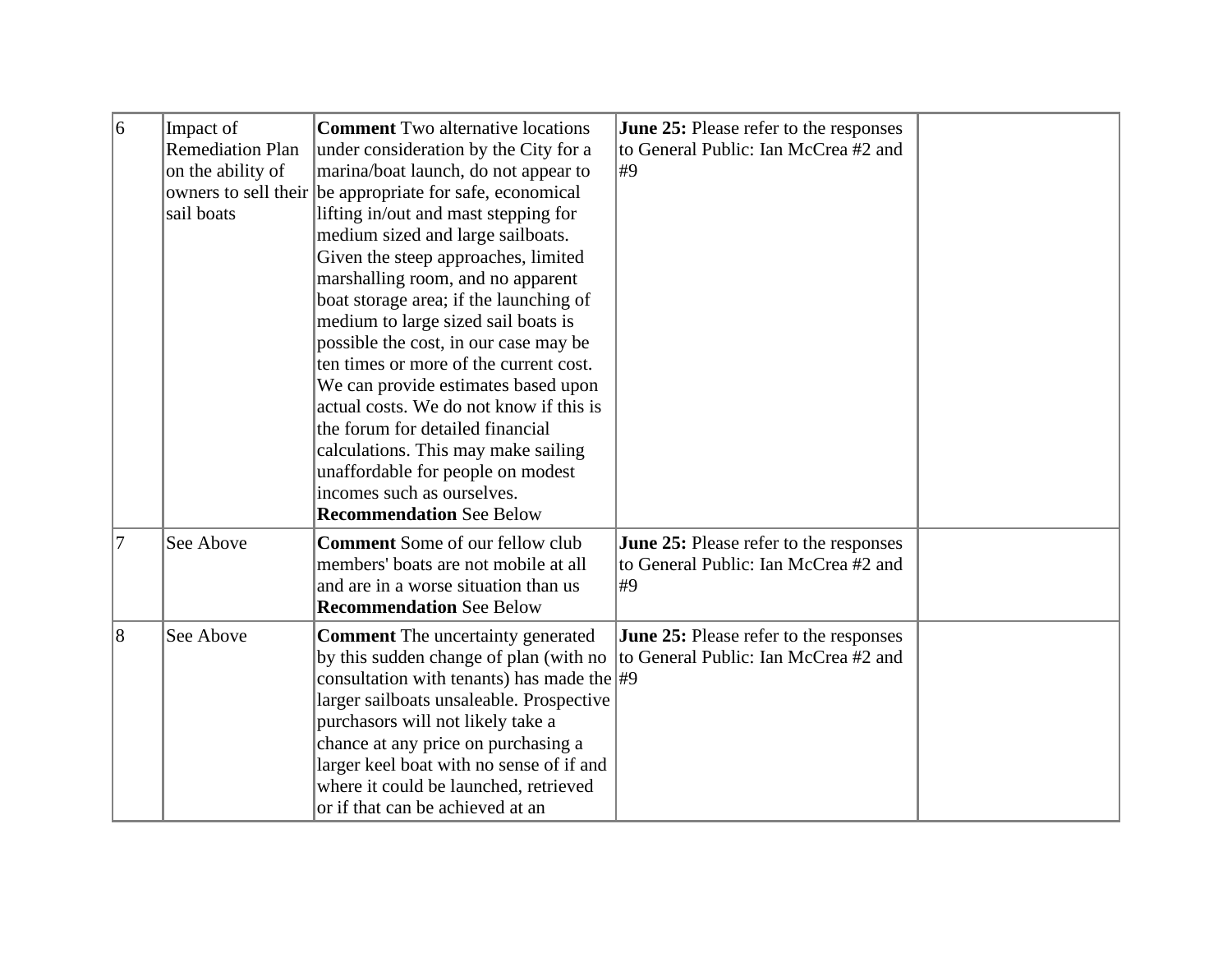| 6  | Impact of<br><b>Remediation Plan</b><br>on the ability of<br>sail boats | <b>Comment</b> Two alternative locations<br>under consideration by the City for a<br>marina/boat launch, do not appear to<br>owners to sell their be appropriate for safe, economical<br>lifting in/out and mast stepping for<br>medium sized and large sailboats.<br>Given the steep approaches, limited<br>marshalling room, and no apparent<br>boat storage area; if the launching of<br>medium to large sized sail boats is<br>possible the cost, in our case may be<br>ten times or more of the current cost.<br>We can provide estimates based upon<br>actual costs. We do not know if this is<br>the forum for detailed financial<br>calculations. This may make sailing<br>unaffordable for people on modest<br>incomes such as ourselves.<br><b>Recommendation See Below</b> | <b>June 25:</b> Please refer to the responses<br>to General Public: Ian McCrea #2 and<br>#9 |  |
|----|-------------------------------------------------------------------------|---------------------------------------------------------------------------------------------------------------------------------------------------------------------------------------------------------------------------------------------------------------------------------------------------------------------------------------------------------------------------------------------------------------------------------------------------------------------------------------------------------------------------------------------------------------------------------------------------------------------------------------------------------------------------------------------------------------------------------------------------------------------------------------|---------------------------------------------------------------------------------------------|--|
| 17 | See Above                                                               | <b>Comment</b> Some of our fellow club<br>members' boats are not mobile at all<br>and are in a worse situation than us<br><b>Recommendation See Below</b>                                                                                                                                                                                                                                                                                                                                                                                                                                                                                                                                                                                                                             | June 25: Please refer to the responses<br>to General Public: Ian McCrea #2 and<br>#9        |  |
| 8  | See Above                                                               | <b>Comment</b> The uncertainty generated<br>by this sudden change of plan (with no<br>consultation with tenants) has made the $\#9$<br>larger sailboats unsaleable. Prospective<br>purchasors will not likely take a<br>chance at any price on purchasing a<br>larger keel boat with no sense of if and<br>where it could be launched, retrieved<br>or if that can be achieved at an                                                                                                                                                                                                                                                                                                                                                                                                  | <b>June 25:</b> Please refer to the responses<br>to General Public: Ian McCrea #2 and       |  |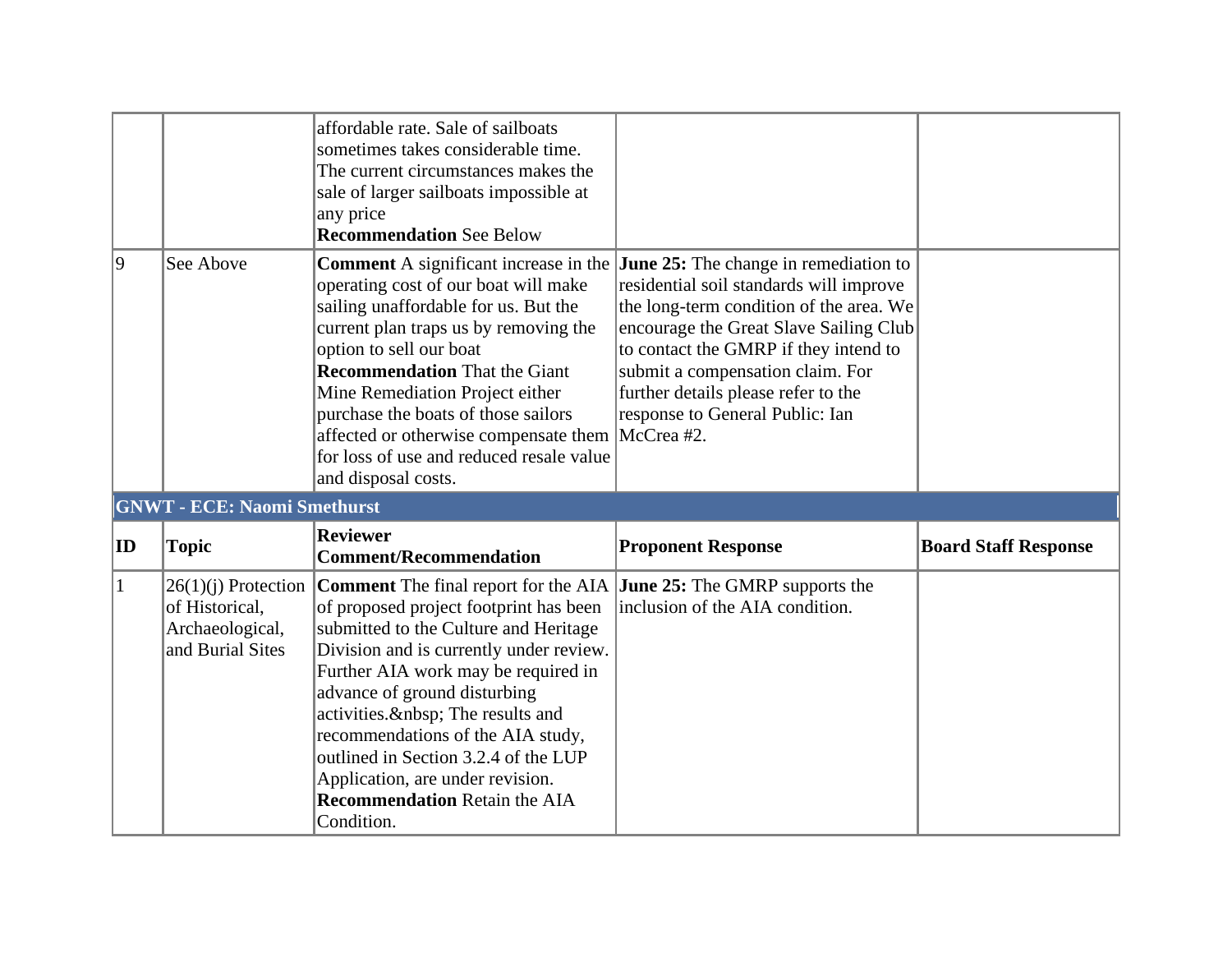|              |                                                       | affordable rate. Sale of sailboats<br>sometimes takes considerable time.<br>The current circumstances makes the<br>sale of larger sailboats impossible at<br>any price<br><b>Recommendation See Below</b>                                                                                                                                                                                                                                                                                             |                                                                                                                                                                                                                                                                                     |                             |
|--------------|-------------------------------------------------------|-------------------------------------------------------------------------------------------------------------------------------------------------------------------------------------------------------------------------------------------------------------------------------------------------------------------------------------------------------------------------------------------------------------------------------------------------------------------------------------------------------|-------------------------------------------------------------------------------------------------------------------------------------------------------------------------------------------------------------------------------------------------------------------------------------|-----------------------------|
| $ 9\rangle$  | See Above                                             | <b>Comment</b> A significant increase in the <b>June 25:</b> The change in remediation to<br>operating cost of our boat will make<br>sailing unaffordable for us. But the<br>current plan traps us by removing the<br>option to sell our boat<br><b>Recommendation</b> That the Giant<br>Mine Remediation Project either<br>purchase the boats of those sailors<br>affected or otherwise compensate them McCrea #2.<br>for loss of use and reduced resale value<br>and disposal costs.                | residential soil standards will improve<br>the long-term condition of the area. We<br>encourage the Great Slave Sailing Club<br>to contact the GMRP if they intend to<br>submit a compensation claim. For<br>further details please refer to the<br>response to General Public: Ian |                             |
|              | <b>GNWT - ECE: Naomi Smethurst</b>                    |                                                                                                                                                                                                                                                                                                                                                                                                                                                                                                       |                                                                                                                                                                                                                                                                                     |                             |
| ID           | <b>Topic</b>                                          | <b>Reviewer</b><br><b>Comment/Recommendation</b>                                                                                                                                                                                                                                                                                                                                                                                                                                                      | <b>Proponent Response</b>                                                                                                                                                                                                                                                           | <b>Board Staff Response</b> |
| $\mathbf{1}$ | of Historical,<br>Archaeological,<br>and Burial Sites | $26(1)(j)$ Protection Comment The final report for the AIA June 25: The GMRP supports the<br>of proposed project footprint has been<br>submitted to the Culture and Heritage<br>Division and is currently under review.<br>Further AIA work may be required in<br>advance of ground disturbing<br>activities.  The results and<br>recommendations of the AIA study,<br>outlined in Section 3.2.4 of the LUP<br>Application, are under revision.<br><b>Recommendation Retain the AIA</b><br>Condition. | inclusion of the AIA condition.                                                                                                                                                                                                                                                     |                             |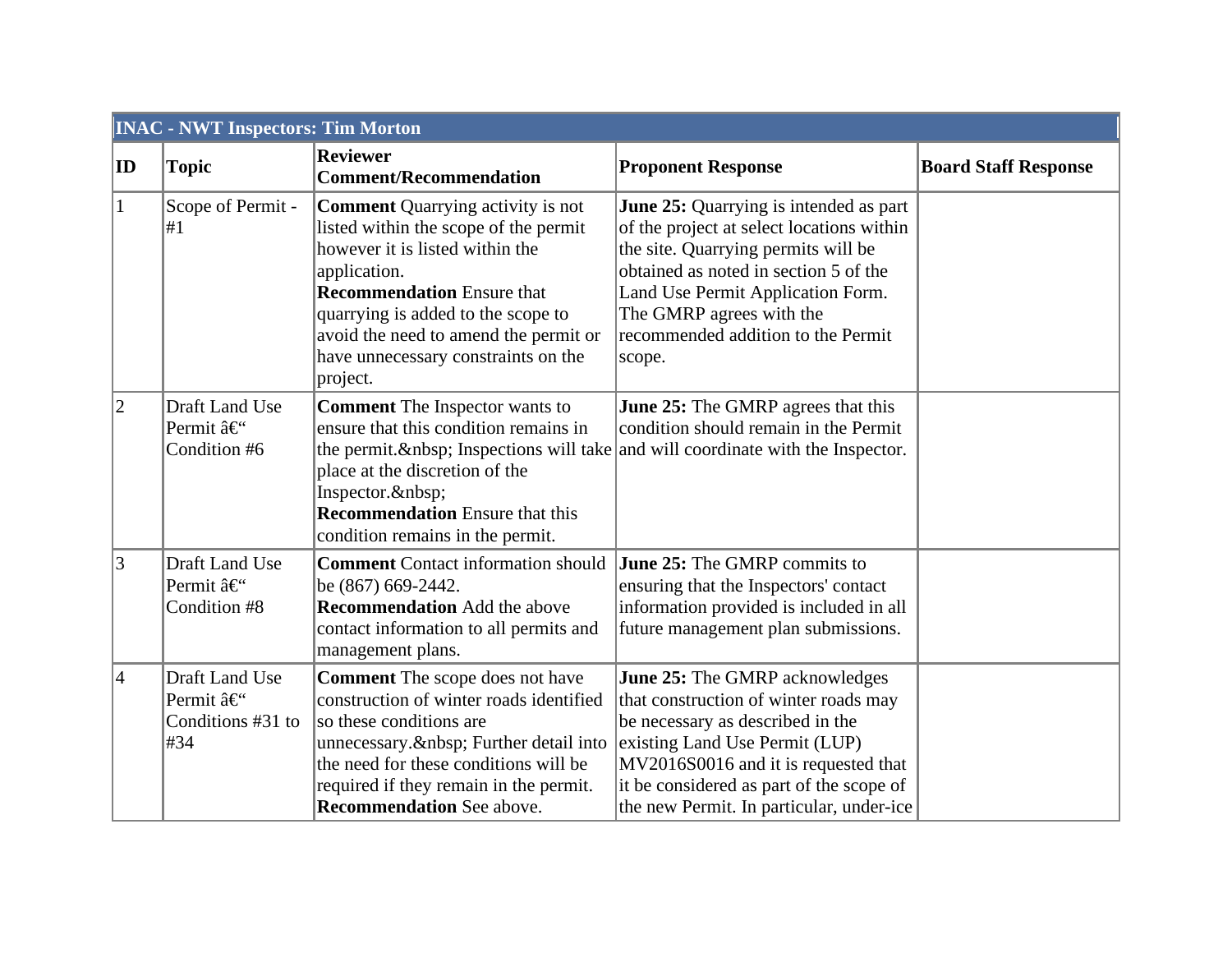| <b>INAC - NWT Inspectors: Tim Morton</b> |                                                                      |                                                                                                                                                                                                                                                                                                             |                                                                                                                                                                                                                                                                                             |                             |  |
|------------------------------------------|----------------------------------------------------------------------|-------------------------------------------------------------------------------------------------------------------------------------------------------------------------------------------------------------------------------------------------------------------------------------------------------------|---------------------------------------------------------------------------------------------------------------------------------------------------------------------------------------------------------------------------------------------------------------------------------------------|-----------------------------|--|
| ID                                       | <b>Topic</b>                                                         | <b>Reviewer</b><br><b>Comment/Recommendation</b>                                                                                                                                                                                                                                                            | <b>Proponent Response</b>                                                                                                                                                                                                                                                                   | <b>Board Staff Response</b> |  |
| $\vert$ 1                                | Scope of Permit -<br>#1                                              | <b>Comment Quarrying activity is not</b><br>listed within the scope of the permit<br>however it is listed within the<br>application.<br><b>Recommendation</b> Ensure that<br>quarrying is added to the scope to<br>avoid the need to amend the permit or<br>have unnecessary constraints on the<br>project. | <b>June 25:</b> Quarrying is intended as part<br>of the project at select locations within<br>the site. Quarrying permits will be<br>obtained as noted in section 5 of the<br>Land Use Permit Application Form.<br>The GMRP agrees with the<br>recommended addition to the Permit<br>scope. |                             |  |
| $ 2\rangle$                              | Draft Land Use<br>Permit â€<br>Condition #6                          | <b>Comment</b> The Inspector wants to<br>ensure that this condition remains in<br>the permit.  Inspections will take and will coordinate with the Inspector.<br>place at the discretion of the<br>Inspector.<br><b>Recommendation</b> Ensure that this<br>condition remains in the permit.                  | <b>June 25:</b> The GMRP agrees that this<br>condition should remain in the Permit                                                                                                                                                                                                          |                             |  |
| $\vert 3 \vert$                          | Draft Land Use<br>Permit â€<br>Condition #8                          | <b>Comment</b> Contact information should<br>be (867) 669-2442.<br><b>Recommendation</b> Add the above<br>contact information to all permits and<br>management plans.                                                                                                                                       | <b>June 25:</b> The GMRP commits to<br>ensuring that the Inspectors' contact<br>information provided is included in all<br>future management plan submissions.                                                                                                                              |                             |  |
| $\vert 4 \vert$                          | Draft Land Use<br>Permit â€ <sup>"</sup><br>Conditions #31 to<br>#34 | <b>Comment</b> The scope does not have<br>construction of winter roads identified<br>so these conditions are<br>unnecessary.  Further detail into<br>the need for these conditions will be<br>required if they remain in the permit.<br><b>Recommendation</b> See above.                                    | <b>June 25:</b> The GMRP acknowledges<br>that construction of winter roads may<br>be necessary as described in the<br>existing Land Use Permit (LUP)<br>MV2016S0016 and it is requested that<br>it be considered as part of the scope of<br>the new Permit. In particular, under-ice        |                             |  |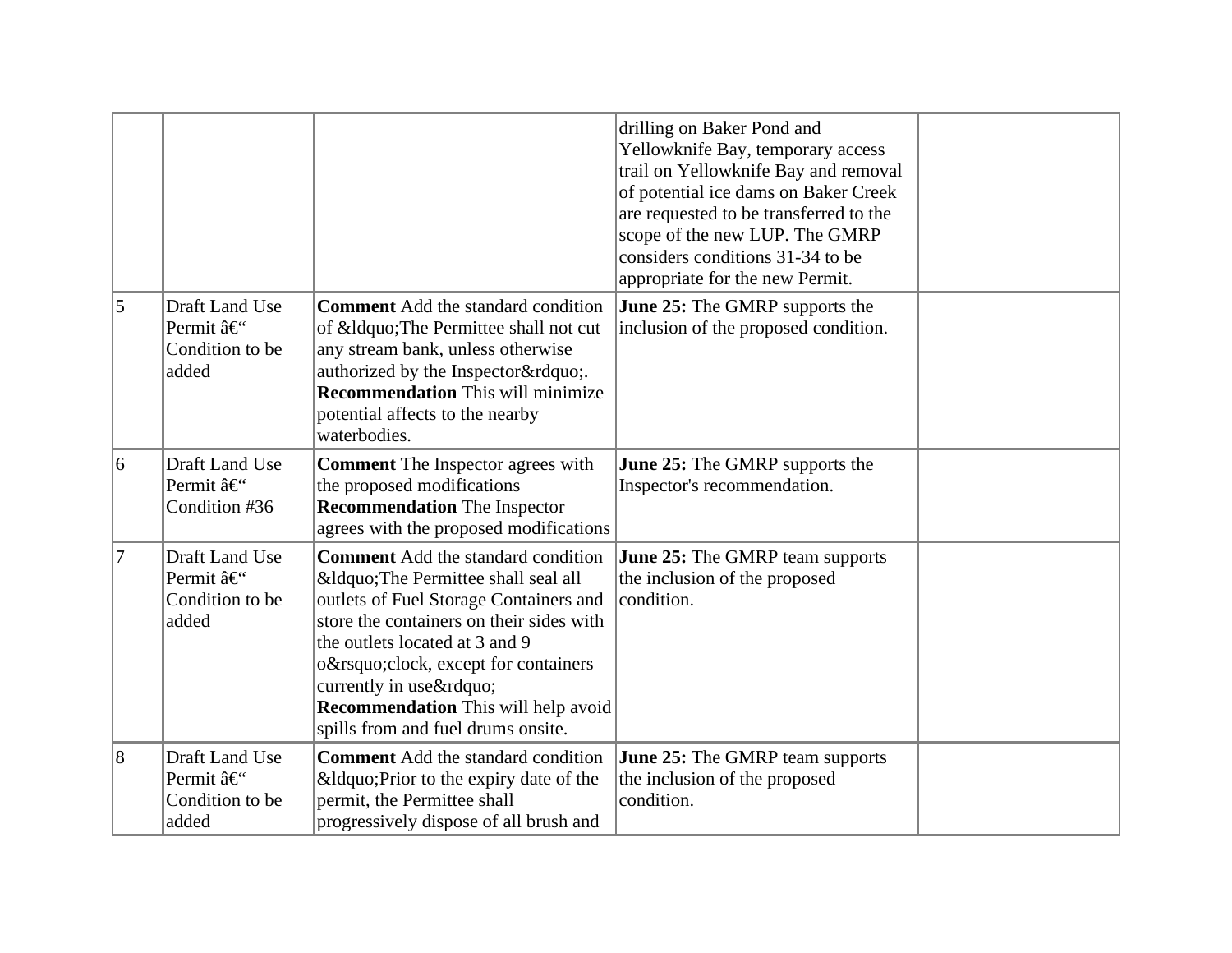|                |                                                                      |                                                                                                                                                                                                                                                                                                                                                | drilling on Baker Pond and<br>Yellowknife Bay, temporary access<br>trail on Yellowknife Bay and removal<br>of potential ice dams on Baker Creek<br>are requested to be transferred to the<br>scope of the new LUP. The GMRP<br>considers conditions 31-34 to be<br>appropriate for the new Permit. |  |
|----------------|----------------------------------------------------------------------|------------------------------------------------------------------------------------------------------------------------------------------------------------------------------------------------------------------------------------------------------------------------------------------------------------------------------------------------|----------------------------------------------------------------------------------------------------------------------------------------------------------------------------------------------------------------------------------------------------------------------------------------------------|--|
| $\overline{5}$ | Draft Land Use<br>Permit â€ <sup>o</sup><br>Condition to be<br>added | <b>Comment</b> Add the standard condition<br>of " The Permittee shall not cut<br>any stream bank, unless otherwise<br>authorized by the Inspector".<br><b>Recommendation</b> This will minimize<br>potential affects to the nearby<br>waterbodies.                                                                                             | <b>June 25:</b> The GMRP supports the<br>inclusion of the proposed condition.                                                                                                                                                                                                                      |  |
| 6              | Draft Land Use<br>Permit â€<br>Condition #36                         | <b>Comment</b> The Inspector agrees with<br>the proposed modifications<br><b>Recommendation</b> The Inspector<br>agrees with the proposed modifications                                                                                                                                                                                        | June 25: The GMRP supports the<br>Inspector's recommendation.                                                                                                                                                                                                                                      |  |
| 17             | Draft Land Use<br>Permit â€<br>Condition to be<br>added              | <b>Comment</b> Add the standard condition<br>" The Permittee shall seal all<br>outlets of Fuel Storage Containers and<br>store the containers on their sides with<br>the outlets located at 3 and 9<br>o'clock, except for containers<br>currently in use"<br><b>Recommendation</b> This will help avoid<br>spills from and fuel drums onsite. | <b>June 25:</b> The GMRP team supports<br>the inclusion of the proposed<br>condition.                                                                                                                                                                                                              |  |
| $\overline{8}$ | Draft Land Use<br>Permit â€<br>Condition to be<br>added              | <b>Comment</b> Add the standard condition<br>" Prior to the expiry date of the<br>permit, the Permittee shall<br>progressively dispose of all brush and                                                                                                                                                                                        | <b>June 25:</b> The GMRP team supports<br>the inclusion of the proposed<br>condition.                                                                                                                                                                                                              |  |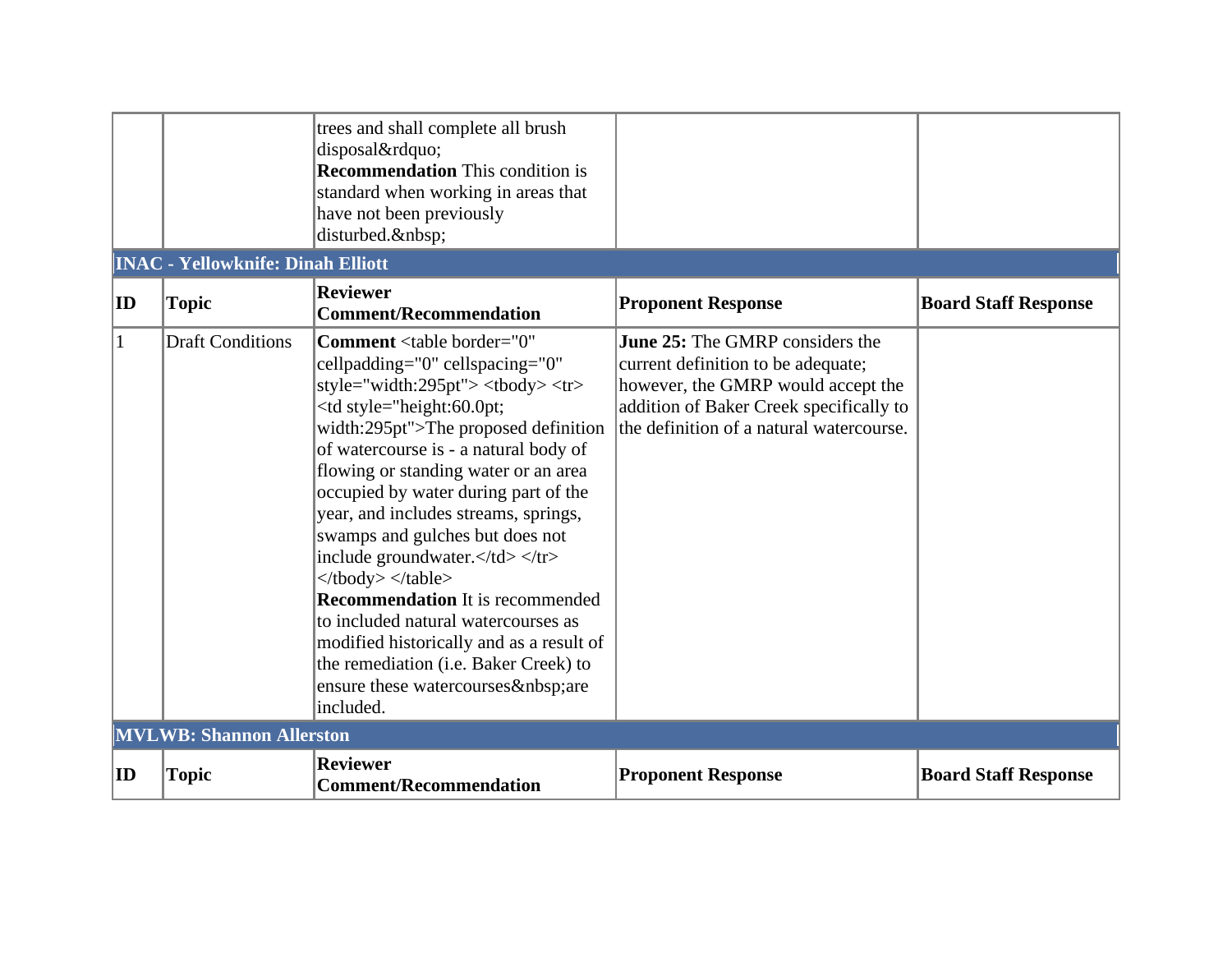|                                                                                                                                                                                                                                                     | <b>INAC - Yellowknife: Dinah Elliott</b> | trees and shall complete all brush<br>disposal"<br><b>Recommendation</b> This condition is<br>standard when working in areas that<br>have not been previously<br>disturbed.                                                                                                                                                                                                                                                                                                                                                                                                                                                                                                |                                                                                                                                                                                                                                                     |                                                                                                                                                                                                           |  |  |
|-----------------------------------------------------------------------------------------------------------------------------------------------------------------------------------------------------------------------------------------------------|------------------------------------------|----------------------------------------------------------------------------------------------------------------------------------------------------------------------------------------------------------------------------------------------------------------------------------------------------------------------------------------------------------------------------------------------------------------------------------------------------------------------------------------------------------------------------------------------------------------------------------------------------------------------------------------------------------------------------|-----------------------------------------------------------------------------------------------------------------------------------------------------------------------------------------------------------------------------------------------------|-----------------------------------------------------------------------------------------------------------------------------------------------------------------------------------------------------------|--|--|
| $ {\bf ID} $                                                                                                                                                                                                                                        | <b>Topic</b>                             | <b>Reviewer</b><br><b>Comment/Recommendation</b>                                                                                                                                                                                                                                                                                                                                                                                                                                                                                                                                                                                                                           | <b>Proponent Response</b>                                                                                                                                                                                                                           | <b>Board Staff Response</b>                                                                                                                                                                               |  |  |
| $\mathbf{1}$                                                                                                                                                                                                                                        | <b>Draft Conditions</b>                  | Comment <table <br="" border="0">cellpadding="0" cellspacing="0"<br/>style="width:295pt"&gt; <tbody><tr><br/><td style="height:60.0pt;&lt;br&gt;width:295pt">The proposed definition<br/>of watercourse is - a natural body of<br/>flowing or standing water or an area<br/>occupied by water during part of the<br/>year, and includes streams, springs,<br/>swamps and gulches but does not<br/>include groundwater.</td></tr><br/></tbody></table><br><b>Recommendation</b> It is recommended<br>to included natural watercourses as<br>modified historically and as a result of<br>the remediation (i.e. Baker Creek) to<br>ensure these watercourses are<br>included. | The proposed definition<br>of watercourse is - a natural body of<br>flowing or standing water or an area<br>occupied by water during part of the<br>year, and includes streams, springs,<br>swamps and gulches but does not<br>include groundwater. | <b>June 25:</b> The GMRP considers the<br>current definition to be adequate;<br>however, the GMRP would accept the<br>addition of Baker Creek specifically to<br>the definition of a natural watercourse. |  |  |
| The proposed definition<br>of watercourse is - a natural body of<br>flowing or standing water or an area<br>occupied by water during part of the<br>year, and includes streams, springs,<br>swamps and gulches but does not<br>include groundwater. |                                          |                                                                                                                                                                                                                                                                                                                                                                                                                                                                                                                                                                                                                                                                            |                                                                                                                                                                                                                                                     |                                                                                                                                                                                                           |  |  |
|                                                                                                                                                                                                                                                     | <b>MVLWB: Shannon Allerston</b>          |                                                                                                                                                                                                                                                                                                                                                                                                                                                                                                                                                                                                                                                                            |                                                                                                                                                                                                                                                     |                                                                                                                                                                                                           |  |  |
| $ {\rm ID} $                                                                                                                                                                                                                                        | <b>Topic</b>                             | <b>Reviewer</b><br><b>Comment/Recommendation</b>                                                                                                                                                                                                                                                                                                                                                                                                                                                                                                                                                                                                                           | <b>Proponent Response</b>                                                                                                                                                                                                                           | <b>Board Staff Response</b>                                                                                                                                                                               |  |  |